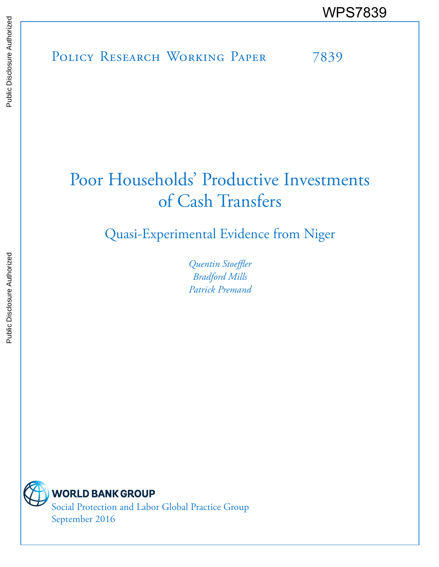POLICY RESEARCH WORKING PAPER 7839 WPS7839

# Poor Households' Productive Investments of Cash Transfers

Quasi-Experimental Evidence from Niger

*Quentin Stoeffler Bradford Mills Patrick Premand*

**WORLD BANK GROUP** 

Social Protection and Labor Global Practice Group September 2016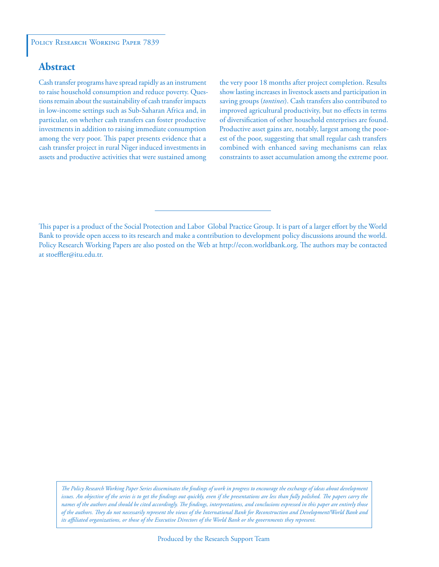## **Abstract**

Cash transfer programs have spread rapidly as an instrument to raise household consumption and reduce poverty. Questions remain about the sustainability of cash transfer impacts in low-income settings such as Sub-Saharan Africa and, in particular, on whether cash transfers can foster productive investments in addition to raising immediate consumption among the very poor. This paper presents evidence that a cash transfer project in rural Niger induced investments in assets and productive activities that were sustained among

the very poor 18 months after project completion. Results show lasting increases in livestock assets and participation in saving groups (*tontines*). Cash transfers also contributed to improved agricultural productivity, but no effects in terms of diversification of other household enterprises are found. Productive asset gains are, notably, largest among the poorest of the poor, suggesting that small regular cash transfers combined with enhanced saving mechanisms can relax constraints to asset accumulation among the extreme poor.

*The Policy Research Working Paper Series disseminates the findings of work in progress to encourage the exchange of ideas about development*  issues. An objective of the series is to get the findings out quickly, even if the presentations are less than fully polished. The papers carry the *names of the authors and should be cited accordingly. The findings, interpretations, and conclusions expressed in this paper are entirely those of the authors. They do not necessarily represent the views of the International Bank for Reconstruction and Development/World Bank and its affiliated organizations, or those of the Executive Directors of the World Bank or the governments they represent.*

This paper is a product of the Social Protection and Labor Global Practice Group. It is part of a larger effort by the World Bank to provide open access to its research and make a contribution to development policy discussions around the world. Policy Research Working Papers are also posted on the Web at http://econ.worldbank.org. The authors may be contacted at stoeffler@itu.edu.tr.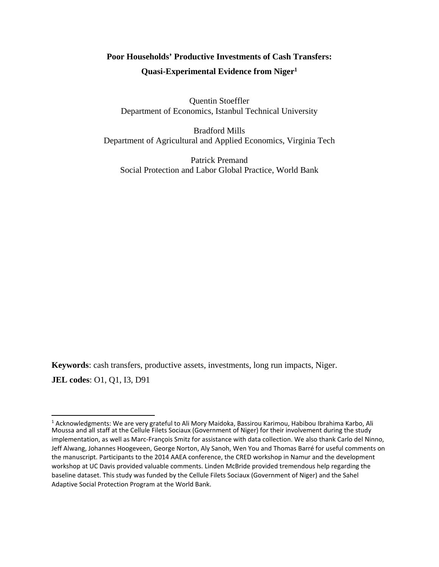# **Poor Households' Productive Investments of Cash Transfers: Quasi-Experimental Evidence from Niger1**

Quentin Stoeffler Department of Economics, Istanbul Technical University

Bradford Mills Department of Agricultural and Applied Economics, Virginia Tech

Patrick Premand Social Protection and Labor Global Practice, World Bank

**Keywords**: cash transfers, productive assets, investments, long run impacts, Niger. **JEL codes**: O1, Q1, I3, D91

<sup>&</sup>lt;sup>1</sup> Acknowledgments: We are very grateful to Ali Mory Maidoka, Bassirou Karimou, Habibou Ibrahima Karbo, Ali Moussa and all staff at the Cellule Filets Sociaux (Government of Niger) for their involvement during the study implementation, as well as Marc‐François Smitz for assistance with data collection. We also thank Carlo del Ninno, Jeff Alwang, Johannes Hoogeveen, George Norton, Aly Sanoh, Wen You and Thomas Barré for useful comments on the manuscript. Participants to the 2014 AAEA conference, the CRED workshop in Namur and the development workshop at UC Davis provided valuable comments. Linden McBride provided tremendous help regarding the baseline dataset. This study was funded by the Cellule Filets Sociaux (Government of Niger) and the Sahel Adaptive Social Protection Program at the World Bank.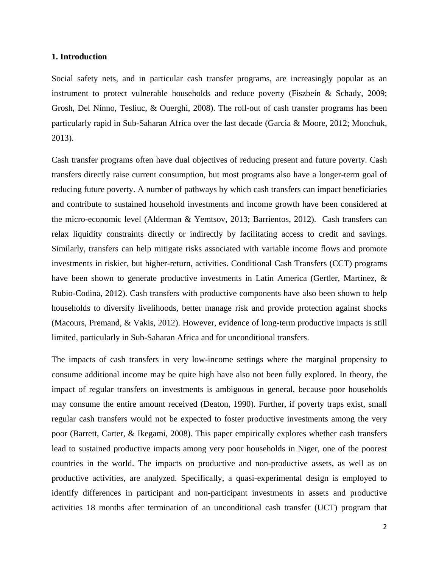#### **1. Introduction**

Social safety nets, and in particular cash transfer programs, are increasingly popular as an instrument to protect vulnerable households and reduce poverty (Fiszbein & Schady, 2009; Grosh, Del Ninno, Tesliuc, & Ouerghi, 2008). The roll-out of cash transfer programs has been particularly rapid in Sub-Saharan Africa over the last decade (Garcia & Moore, 2012; Monchuk, 2013).

Cash transfer programs often have dual objectives of reducing present and future poverty. Cash transfers directly raise current consumption, but most programs also have a longer-term goal of reducing future poverty. A number of pathways by which cash transfers can impact beneficiaries and contribute to sustained household investments and income growth have been considered at the micro-economic level (Alderman & Yemtsov, 2013; Barrientos, 2012). Cash transfers can relax liquidity constraints directly or indirectly by facilitating access to credit and savings. Similarly, transfers can help mitigate risks associated with variable income flows and promote investments in riskier, but higher-return, activities. Conditional Cash Transfers (CCT) programs have been shown to generate productive investments in Latin America (Gertler, Martinez, & Rubio-Codina, 2012). Cash transfers with productive components have also been shown to help households to diversify livelihoods, better manage risk and provide protection against shocks (Macours, Premand, & Vakis, 2012). However, evidence of long-term productive impacts is still limited, particularly in Sub-Saharan Africa and for unconditional transfers.

The impacts of cash transfers in very low-income settings where the marginal propensity to consume additional income may be quite high have also not been fully explored. In theory, the impact of regular transfers on investments is ambiguous in general, because poor households may consume the entire amount received (Deaton, 1990). Further, if poverty traps exist, small regular cash transfers would not be expected to foster productive investments among the very poor (Barrett, Carter, & Ikegami, 2008). This paper empirically explores whether cash transfers lead to sustained productive impacts among very poor households in Niger, one of the poorest countries in the world. The impacts on productive and non-productive assets, as well as on productive activities, are analyzed. Specifically, a quasi-experimental design is employed to identify differences in participant and non-participant investments in assets and productive activities 18 months after termination of an unconditional cash transfer (UCT) program that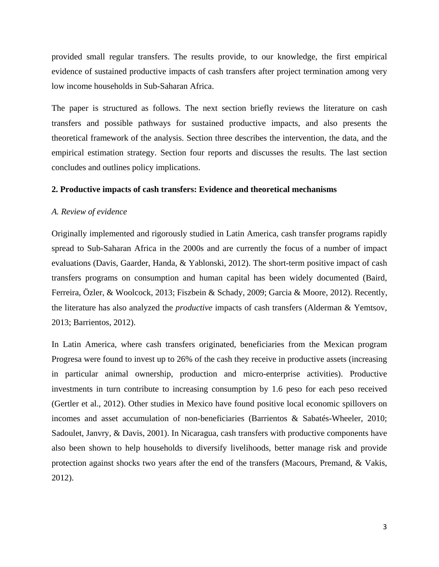provided small regular transfers. The results provide, to our knowledge, the first empirical evidence of sustained productive impacts of cash transfers after project termination among very low income households in Sub-Saharan Africa.

The paper is structured as follows. The next section briefly reviews the literature on cash transfers and possible pathways for sustained productive impacts, and also presents the theoretical framework of the analysis. Section three describes the intervention, the data, and the empirical estimation strategy. Section four reports and discusses the results. The last section concludes and outlines policy implications.

#### **2. Productive impacts of cash transfers: Evidence and theoretical mechanisms**

#### *A. Review of evidence*

Originally implemented and rigorously studied in Latin America, cash transfer programs rapidly spread to Sub-Saharan Africa in the 2000s and are currently the focus of a number of impact evaluations (Davis, Gaarder, Handa, & Yablonski, 2012). The short-term positive impact of cash transfers programs on consumption and human capital has been widely documented (Baird, Ferreira, Özler, & Woolcock, 2013; Fiszbein & Schady, 2009; Garcia & Moore, 2012). Recently, the literature has also analyzed the *productive* impacts of cash transfers (Alderman & Yemtsov, 2013; Barrientos, 2012).

In Latin America, where cash transfers originated, beneficiaries from the Mexican program Progresa were found to invest up to 26% of the cash they receive in productive assets (increasing in particular animal ownership, production and micro-enterprise activities). Productive investments in turn contribute to increasing consumption by 1.6 peso for each peso received (Gertler et al., 2012). Other studies in Mexico have found positive local economic spillovers on incomes and asset accumulation of non-beneficiaries (Barrientos & Sabatés-Wheeler, 2010; Sadoulet, Janvry, & Davis, 2001). In Nicaragua, cash transfers with productive components have also been shown to help households to diversify livelihoods, better manage risk and provide protection against shocks two years after the end of the transfers (Macours, Premand, & Vakis, 2012).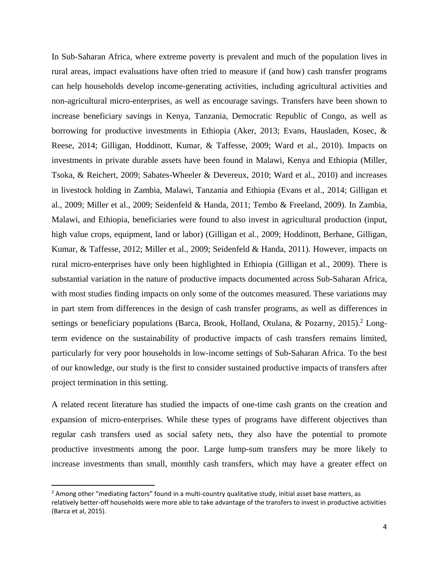In Sub-Saharan Africa, where extreme poverty is prevalent and much of the population lives in rural areas, impact evaluations have often tried to measure if (and how) cash transfer programs can help households develop income-generating activities, including agricultural activities and non-agricultural micro-enterprises, as well as encourage savings. Transfers have been shown to increase beneficiary savings in Kenya, Tanzania, Democratic Republic of Congo, as well as borrowing for productive investments in Ethiopia (Aker, 2013; Evans, Hausladen, Kosec, & Reese, 2014; Gilligan, Hoddinott, Kumar, & Taffesse, 2009; Ward et al., 2010). Impacts on investments in private durable assets have been found in Malawi, Kenya and Ethiopia (Miller, Tsoka, & Reichert, 2009; Sabates-Wheeler & Devereux, 2010; Ward et al., 2010) and increases in livestock holding in Zambia, Malawi, Tanzania and Ethiopia (Evans et al., 2014; Gilligan et al., 2009; Miller et al., 2009; Seidenfeld & Handa, 2011; Tembo & Freeland, 2009). In Zambia, Malawi, and Ethiopia, beneficiaries were found to also invest in agricultural production (input, high value crops, equipment, land or labor) (Gilligan et al., 2009; Hoddinott, Berhane, Gilligan, Kumar, & Taffesse, 2012; Miller et al., 2009; Seidenfeld & Handa, 2011). However, impacts on rural micro-enterprises have only been highlighted in Ethiopia (Gilligan et al., 2009). There is substantial variation in the nature of productive impacts documented across Sub-Saharan Africa, with most studies finding impacts on only some of the outcomes measured. These variations may in part stem from differences in the design of cash transfer programs, as well as differences in settings or beneficiary populations (Barca, Brook, Holland, Otulana, & Pozarny, 2015).<sup>2</sup> Longterm evidence on the sustainability of productive impacts of cash transfers remains limited, particularly for very poor households in low-income settings of Sub-Saharan Africa. To the best of our knowledge, our study is the first to consider sustained productive impacts of transfers after project termination in this setting.

A related recent literature has studied the impacts of one-time cash grants on the creation and expansion of micro-enterprises. While these types of programs have different objectives than regular cash transfers used as social safety nets, they also have the potential to promote productive investments among the poor. Large lump-sum transfers may be more likely to increase investments than small, monthly cash transfers, which may have a greater effect on

 $<sup>2</sup>$  Among other "mediating factors" found in a multi-country qualitative study, initial asset base matters, as</sup> relatively better‐off households were more able to take advantage of the transfers to invest in productive activities (Barca et al, 2015).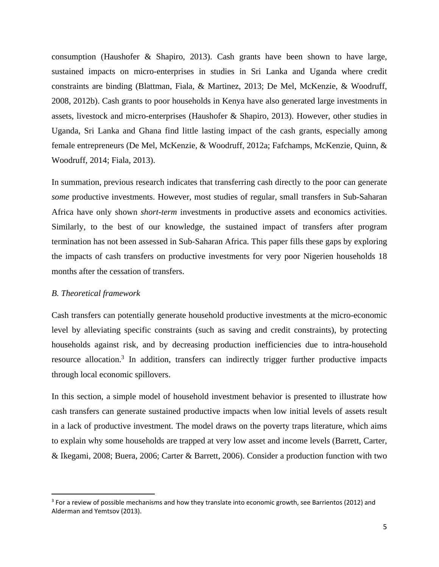consumption (Haushofer & Shapiro, 2013). Cash grants have been shown to have large, sustained impacts on micro-enterprises in studies in Sri Lanka and Uganda where credit constraints are binding (Blattman, Fiala, & Martinez, 2013; De Mel, McKenzie, & Woodruff, 2008, 2012b). Cash grants to poor households in Kenya have also generated large investments in assets, livestock and micro-enterprises (Haushofer & Shapiro, 2013). However, other studies in Uganda, Sri Lanka and Ghana find little lasting impact of the cash grants, especially among female entrepreneurs (De Mel, McKenzie, & Woodruff, 2012a; Fafchamps, McKenzie, Quinn, & Woodruff, 2014; Fiala, 2013).

In summation, previous research indicates that transferring cash directly to the poor can generate *some* productive investments. However, most studies of regular, small transfers in Sub-Saharan Africa have only shown *short-term* investments in productive assets and economics activities. Similarly, to the best of our knowledge, the sustained impact of transfers after program termination has not been assessed in Sub-Saharan Africa. This paper fills these gaps by exploring the impacts of cash transfers on productive investments for very poor Nigerien households 18 months after the cessation of transfers.

#### *B. Theoretical framework*

Cash transfers can potentially generate household productive investments at the micro-economic level by alleviating specific constraints (such as saving and credit constraints), by protecting households against risk, and by decreasing production inefficiencies due to intra-household resource allocation.<sup>3</sup> In addition, transfers can indirectly trigger further productive impacts through local economic spillovers.

In this section, a simple model of household investment behavior is presented to illustrate how cash transfers can generate sustained productive impacts when low initial levels of assets result in a lack of productive investment. The model draws on the poverty traps literature, which aims to explain why some households are trapped at very low asset and income levels (Barrett, Carter, & Ikegami, 2008; Buera, 2006; Carter & Barrett, 2006). Consider a production function with two

<sup>&</sup>lt;sup>3</sup> For a review of possible mechanisms and how they translate into economic growth, see Barrientos (2012) and Alderman and Yemtsov (2013).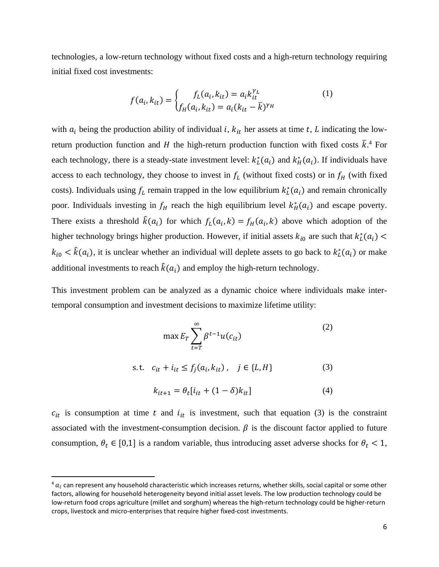technologies, a low-return technology without fixed costs and a high-return technology requiring initial fixed cost investments:

$$
f(a_i, k_{it}) = \begin{cases} f_L(a_i, k_{it}) = a_i k_{it}^{\gamma_L} \\ f_H(a_i, k_{it}) = a_i (k_{it} - \bar{k})^{\gamma_H} \end{cases}
$$
(1)

with  $a_i$  being the production ability of individual *i*,  $k_{it}$  her assets at time *t*, *L* indicating the lowreturn production function and H the high-return production function with fixed costs  $\bar{k}$ .<sup>4</sup> For each technology, there is a steady-state investment level:  $k_L^*(a_i)$  and  $k_H^*(a_i)$ . If individuals have access to each technology, they choose to invest in  $f_L$  (without fixed costs) or in  $f_H$  (with fixed costs). Individuals using  $f_L$  remain trapped in the low equilibrium  $k_L^*(a_i)$  and remain chronically poor. Individuals investing in  $f_H$  reach the high equilibrium level  $k_H^*(a_i)$  and escape poverty. There exists a threshold  $\hat{k}(a_i)$  for which  $f_k(a_i, k) = f_{\hat{H}}(a_i, k)$  above which adoption of the higher technology brings higher production. However, if initial assets  $k_{i0}$  are such that  $k_L^*(a_i)$  $k_{i0} < \hat{k}(a_i)$ , it is unclear whether an individual will deplete assets to go back to  $k_L^*(a_i)$  or make additional investments to reach  $\hat{k}(a_i)$  and employ the high-return technology.

This investment problem can be analyzed as a dynamic choice where individuals make intertemporal consumption and investment decisions to maximize lifetime utility:

$$
\max E_T \sum_{t=T}^{\infty} \beta^{t-1} u(c_{it})
$$
 (2)

s.t. 
$$
c_{it} + i_{it} \le f_j(a_i, k_{it})
$$
,  $j \in \{L, H\}$  (3)

$$
k_{it+1} = \theta_t[i_{it} + (1 - \delta)k_{it}] \tag{4}
$$

 $c_{it}$  is consumption at time t and  $i_{it}$  is investment, such that equation (3) is the constraint associated with the investment-consumption decision.  $\beta$  is the discount factor applied to future consumption,  $\theta_t \in [0,1]$  is a random variable, thus introducing asset adverse shocks for  $\theta_t < 1$ ,

 $4 a<sub>i</sub>$  can represent any household characteristic which increases returns, whether skills, social capital or some other factors, allowing for household heterogeneity beyond initial asset levels. The low production technology could be low‐return food crops agriculture (millet and sorghum) whereas the high‐return technology could be higher‐return crops, livestock and micro‐enterprises that require higher fixed‐cost investments.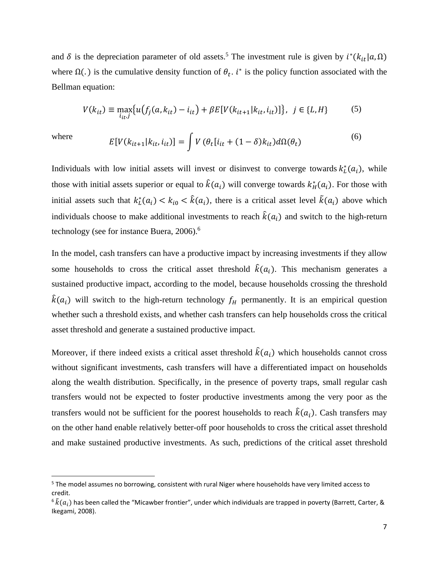and  $\delta$  is the depreciation parameter of old assets.<sup>5</sup> The investment rule is given by  $i^*(k_{it} | a, \Omega)$ where  $\Omega(.)$  is the cumulative density function of  $\theta_t$ . *i*<sup>∗</sup> is the policy function associated with the Bellman equation:

$$
V(k_{it}) \equiv \max_{i_{it},j} \{ u(f_j(a, k_{it}) - i_{it}) + \beta E[V(k_{it+1}|k_{it}, i_{it})] \}, j \in \{L, H\}
$$
 (5)

where 
$$
E[V(k_{it+1}|k_{it}, i_{it})] = \int V(\theta_t[i_{it} + (1-\delta)k_{it})d\Omega(\theta_t)
$$
 (6)

Individuals with low initial assets will invest or disinvest to converge towards  $k_L^*(a_i)$ , while those with initial assets superior or equal to  $\hat{k}(a_i)$  will converge towards  $k_H^*(a_i)$ . For those with initial assets such that  $k_L^*(a_i) < k_{i0} < \hat{k}(a_i)$ , there is a critical asset level  $\tilde{k}(a_i)$  above which individuals choose to make additional investments to reach  $\hat{k}(a_i)$  and switch to the high-return technology (see for instance Buera, 2006).<sup>6</sup>

In the model, cash transfers can have a productive impact by increasing investments if they allow some households to cross the critical asset threshold  $\hat{k}(a_i)$ . This mechanism generates a sustained productive impact, according to the model, because households crossing the threshold  $\hat{k}(a_i)$  will switch to the high-return technology  $f_H$  permanently. It is an empirical question whether such a threshold exists, and whether cash transfers can help households cross the critical asset threshold and generate a sustained productive impact.

Moreover, if there indeed exists a critical asset threshold  $\hat{k}(a_i)$  which households cannot cross without significant investments, cash transfers will have a differentiated impact on households along the wealth distribution. Specifically, in the presence of poverty traps, small regular cash transfers would not be expected to foster productive investments among the very poor as the transfers would not be sufficient for the poorest households to reach  $\hat{k}(a_i)$ . Cash transfers may on the other hand enable relatively better-off poor households to cross the critical asset threshold and make sustained productive investments. As such, predictions of the critical asset threshold

<sup>&</sup>lt;sup>5</sup> The model assumes no borrowing, consistent with rural Niger where households have very limited access to credit.

 $^6$   $\tilde{k}(a_i)$  has been called the "Micawber frontier", under which individuals are trapped in poverty (Barrett, Carter, & Ikegami, 2008).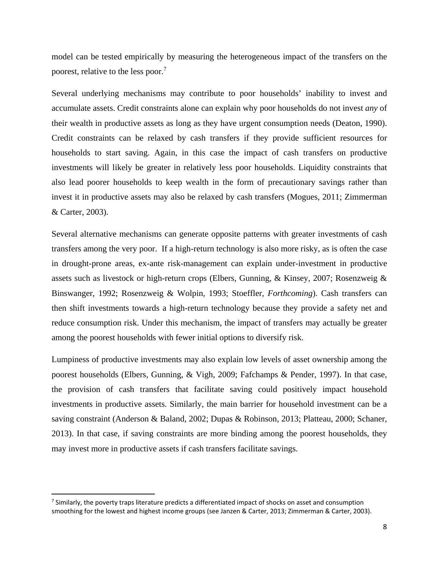model can be tested empirically by measuring the heterogeneous impact of the transfers on the poorest, relative to the less poor.<sup>7</sup>

Several underlying mechanisms may contribute to poor households' inability to invest and accumulate assets. Credit constraints alone can explain why poor households do not invest *any* of their wealth in productive assets as long as they have urgent consumption needs (Deaton, 1990). Credit constraints can be relaxed by cash transfers if they provide sufficient resources for households to start saving. Again, in this case the impact of cash transfers on productive investments will likely be greater in relatively less poor households. Liquidity constraints that also lead poorer households to keep wealth in the form of precautionary savings rather than invest it in productive assets may also be relaxed by cash transfers (Mogues, 2011; Zimmerman & Carter, 2003).

Several alternative mechanisms can generate opposite patterns with greater investments of cash transfers among the very poor. If a high-return technology is also more risky, as is often the case in drought-prone areas, ex-ante risk-management can explain under-investment in productive assets such as livestock or high-return crops (Elbers, Gunning, & Kinsey, 2007; Rosenzweig & Binswanger, 1992; Rosenzweig & Wolpin, 1993; Stoeffler, *Forthcoming*). Cash transfers can then shift investments towards a high-return technology because they provide a safety net and reduce consumption risk. Under this mechanism, the impact of transfers may actually be greater among the poorest households with fewer initial options to diversify risk.

Lumpiness of productive investments may also explain low levels of asset ownership among the poorest households (Elbers, Gunning, & Vigh, 2009; Fafchamps & Pender, 1997). In that case, the provision of cash transfers that facilitate saving could positively impact household investments in productive assets. Similarly, the main barrier for household investment can be a saving constraint (Anderson & Baland, 2002; Dupas & Robinson, 2013; Platteau, 2000; Schaner, 2013). In that case, if saving constraints are more binding among the poorest households, they may invest more in productive assets if cash transfers facilitate savings.

 $<sup>7</sup>$  Similarly, the poverty traps literature predicts a differentiated impact of shocks on asset and consumption</sup> smoothing for the lowest and highest income groups (see Janzen & Carter, 2013; Zimmerman & Carter, 2003).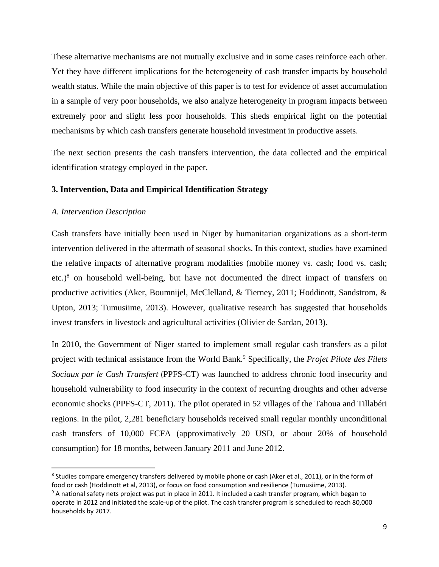These alternative mechanisms are not mutually exclusive and in some cases reinforce each other. Yet they have different implications for the heterogeneity of cash transfer impacts by household wealth status. While the main objective of this paper is to test for evidence of asset accumulation in a sample of very poor households, we also analyze heterogeneity in program impacts between extremely poor and slight less poor households. This sheds empirical light on the potential mechanisms by which cash transfers generate household investment in productive assets.

The next section presents the cash transfers intervention, the data collected and the empirical identification strategy employed in the paper.

#### **3. Intervention, Data and Empirical Identification Strategy**

#### *A. Intervention Description*

Cash transfers have initially been used in Niger by humanitarian organizations as a short-term intervention delivered in the aftermath of seasonal shocks. In this context, studies have examined the relative impacts of alternative program modalities (mobile money vs. cash; food vs. cash; etc.) $8$  on household well-being, but have not documented the direct impact of transfers on productive activities (Aker, Boumnijel, McClelland, & Tierney, 2011; Hoddinott, Sandstrom, & Upton, 2013; Tumusiime, 2013). However, qualitative research has suggested that households invest transfers in livestock and agricultural activities (Olivier de Sardan, 2013).

In 2010, the Government of Niger started to implement small regular cash transfers as a pilot project with technical assistance from the World Bank.<sup>9</sup> Specifically, the *Projet Pilote des Filets Sociaux par le Cash Transfert* (PPFS-CT) was launched to address chronic food insecurity and household vulnerability to food insecurity in the context of recurring droughts and other adverse economic shocks (PPFS-CT, 2011). The pilot operated in 52 villages of the Tahoua and Tillabéri regions. In the pilot, 2,281 beneficiary households received small regular monthly unconditional cash transfers of 10,000 FCFA (approximatively 20 USD, or about 20% of household consumption) for 18 months, between January 2011 and June 2012.

<sup>&</sup>lt;sup>8</sup> Studies compare emergency transfers delivered by mobile phone or cash (Aker et al., 2011), or in the form of food or cash (Hoddinott et al, 2013), or focus on food consumption and resilience (Tumusiime, 2013).

 $9$  A national safety nets project was put in place in 2011. It included a cash transfer program, which began to operate in 2012 and initiated the scale‐up of the pilot. The cash transfer program is scheduled to reach 80,000 households by 2017.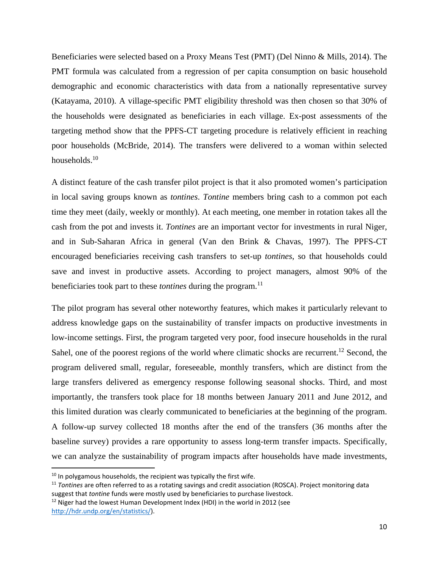Beneficiaries were selected based on a Proxy Means Test (PMT) (Del Ninno & Mills, 2014). The PMT formula was calculated from a regression of per capita consumption on basic household demographic and economic characteristics with data from a nationally representative survey (Katayama, 2010). A village-specific PMT eligibility threshold was then chosen so that 30% of the households were designated as beneficiaries in each village. Ex-post assessments of the targeting method show that the PPFS-CT targeting procedure is relatively efficient in reaching poor households (McBride, 2014). The transfers were delivered to a woman within selected households.<sup>10</sup>

A distinct feature of the cash transfer pilot project is that it also promoted women's participation in local saving groups known as *tontines*. *Tontine* members bring cash to a common pot each time they meet (daily, weekly or monthly). At each meeting, one member in rotation takes all the cash from the pot and invests it. *Tontines* are an important vector for investments in rural Niger, and in Sub-Saharan Africa in general (Van den Brink & Chavas, 1997). The PPFS-CT encouraged beneficiaries receiving cash transfers to set-up *tontines*, so that households could save and invest in productive assets. According to project managers, almost 90% of the beneficiaries took part to these *tontines* during the program.<sup>11</sup>

The pilot program has several other noteworthy features, which makes it particularly relevant to address knowledge gaps on the sustainability of transfer impacts on productive investments in low-income settings. First, the program targeted very poor, food insecure households in the rural Sahel, one of the poorest regions of the world where climatic shocks are recurrent.<sup>12</sup> Second, the program delivered small, regular, foreseeable, monthly transfers, which are distinct from the large transfers delivered as emergency response following seasonal shocks. Third, and most importantly, the transfers took place for 18 months between January 2011 and June 2012, and this limited duration was clearly communicated to beneficiaries at the beginning of the program. A follow-up survey collected 18 months after the end of the transfers (36 months after the baseline survey) provides a rare opportunity to assess long-term transfer impacts. Specifically, we can analyze the sustainability of program impacts after households have made investments,

 $10$  In polygamous households, the recipient was typically the first wife.

<sup>11</sup> *Tontines* are often referred to as a rotating savings and credit association (ROSCA). Project monitoring data suggest that *tontine* funds were mostly used by beneficiaries to purchase livestock.

<sup>&</sup>lt;sup>12</sup> Niger had the lowest Human Development Index (HDI) in the world in 2012 (see http://hdr.undp.org/en/statistics/).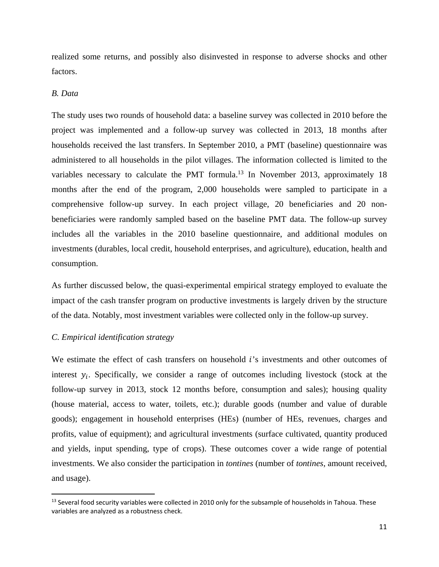realized some returns, and possibly also disinvested in response to adverse shocks and other factors.

#### *B. Data*

The study uses two rounds of household data: a baseline survey was collected in 2010 before the project was implemented and a follow-up survey was collected in 2013, 18 months after households received the last transfers. In September 2010, a PMT (baseline) questionnaire was administered to all households in the pilot villages. The information collected is limited to the variables necessary to calculate the PMT formula.<sup>13</sup> In November 2013, approximately 18 months after the end of the program, 2,000 households were sampled to participate in a comprehensive follow-up survey. In each project village, 20 beneficiaries and 20 nonbeneficiaries were randomly sampled based on the baseline PMT data. The follow-up survey includes all the variables in the 2010 baseline questionnaire, and additional modules on investments (durables, local credit, household enterprises, and agriculture), education, health and consumption.

As further discussed below, the quasi-experimental empirical strategy employed to evaluate the impact of the cash transfer program on productive investments is largely driven by the structure of the data. Notably, most investment variables were collected only in the follow-up survey.

#### *C. Empirical identification strategy*

We estimate the effect of cash transfers on household  $i$ 's investments and other outcomes of interest  $y_i$ . Specifically, we consider a range of outcomes including livestock (stock at the follow-up survey in 2013, stock 12 months before, consumption and sales); housing quality (house material, access to water, toilets, etc.); durable goods (number and value of durable goods); engagement in household enterprises (HEs) (number of HEs, revenues, charges and profits, value of equipment); and agricultural investments (surface cultivated, quantity produced and yields, input spending, type of crops). These outcomes cover a wide range of potential investments. We also consider the participation in *tontines* (number of *tontines*, amount received, and usage).

<sup>&</sup>lt;sup>13</sup> Several food security variables were collected in 2010 only for the subsample of households in Tahoua. These variables are analyzed as a robustness check.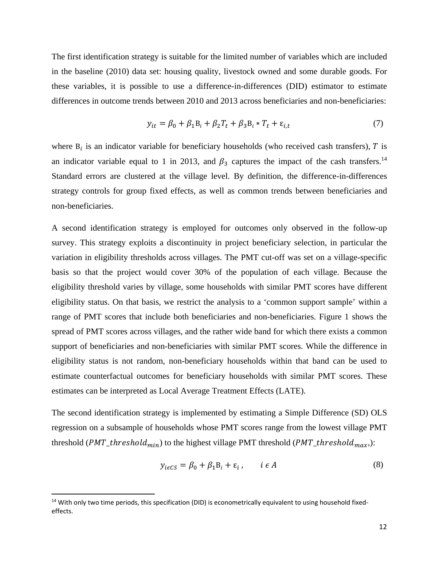The first identification strategy is suitable for the limited number of variables which are included in the baseline (2010) data set: housing quality, livestock owned and some durable goods. For these variables, it is possible to use a difference-in-differences (DID) estimator to estimate differences in outcome trends between 2010 and 2013 across beneficiaries and non-beneficiaries:

$$
y_{it} = \beta_0 + \beta_1 B_i + \beta_2 T_t + \beta_3 B_i * T_t + \varepsilon_{i,t}
$$
 (7)

where  $B_i$  is an indicator variable for beneficiary households (who received cash transfers),  $T$  is an indicator variable equal to 1 in 2013, and  $\beta_3$  captures the impact of the cash transfers.<sup>14</sup> Standard errors are clustered at the village level. By definition, the difference-in-differences strategy controls for group fixed effects, as well as common trends between beneficiaries and non-beneficiaries.

A second identification strategy is employed for outcomes only observed in the follow-up survey. This strategy exploits a discontinuity in project beneficiary selection, in particular the variation in eligibility thresholds across villages. The PMT cut-off was set on a village-specific basis so that the project would cover 30% of the population of each village. Because the eligibility threshold varies by village, some households with similar PMT scores have different eligibility status. On that basis, we restrict the analysis to a 'common support sample' within a range of PMT scores that include both beneficiaries and non-beneficiaries. Figure 1 shows the spread of PMT scores across villages, and the rather wide band for which there exists a common support of beneficiaries and non-beneficiaries with similar PMT scores. While the difference in eligibility status is not random, non-beneficiary households within that band can be used to estimate counterfactual outcomes for beneficiary households with similar PMT scores. These estimates can be interpreted as Local Average Treatment Effects (LATE).

The second identification strategy is implemented by estimating a Simple Difference (SD) OLS regression on a subsample of households whose PMT scores range from the lowest village PMT threshold (*PMT\_threshold<sub>min</sub>*) to the highest village PMT threshold (*PMT\_threshold<sub>max</sub>*):

$$
y_{i\epsilon\zeta S} = \beta_0 + \beta_1 B_i + \varepsilon_i, \qquad i \in A
$$
 (8)

<sup>&</sup>lt;sup>14</sup> With only two time periods, this specification (DID) is econometrically equivalent to using household fixedeffects.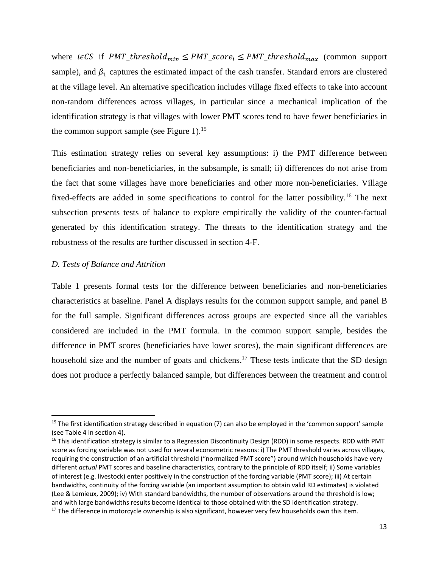where  $i \in CS$  if PMT\_threshold<sub>min</sub>  $\leq$  PMT\_score<sub>i</sub>  $\leq$  PMT\_threshold<sub>max</sub> (common support sample), and  $\beta_1$  captures the estimated impact of the cash transfer. Standard errors are clustered at the village level. An alternative specification includes village fixed effects to take into account non-random differences across villages, in particular since a mechanical implication of the identification strategy is that villages with lower PMT scores tend to have fewer beneficiaries in the common support sample (see Figure 1).<sup>15</sup>

This estimation strategy relies on several key assumptions: i) the PMT difference between beneficiaries and non-beneficiaries, in the subsample, is small; ii) differences do not arise from the fact that some villages have more beneficiaries and other more non-beneficiaries. Village fixed-effects are added in some specifications to control for the latter possibility.<sup>16</sup> The next subsection presents tests of balance to explore empirically the validity of the counter-factual generated by this identification strategy. The threats to the identification strategy and the robustness of the results are further discussed in section 4-F.

#### *D. Tests of Balance and Attrition*

Table 1 presents formal tests for the difference between beneficiaries and non-beneficiaries characteristics at baseline. Panel A displays results for the common support sample, and panel B for the full sample. Significant differences across groups are expected since all the variables considered are included in the PMT formula. In the common support sample, besides the difference in PMT scores (beneficiaries have lower scores), the main significant differences are household size and the number of goats and chickens.<sup>17</sup> These tests indicate that the SD design does not produce a perfectly balanced sample, but differences between the treatment and control

<sup>&</sup>lt;sup>15</sup> The first identification strategy described in equation (7) can also be employed in the 'common support' sample (see Table 4 in section 4).

<sup>&</sup>lt;sup>16</sup> This identification strategy is similar to a Regression Discontinuity Design (RDD) in some respects. RDD with PMT score as forcing variable was not used for several econometric reasons: i) The PMT threshold varies across villages, requiring the construction of an artificial threshold ("normalized PMT score") around which households have very different *actual* PMT scores and baseline characteristics, contrary to the principle of RDD itself; ii) Some variables of interest (e.g. livestock) enter positively in the construction of the forcing variable (PMT score); iii) At certain bandwidths, continuity of the forcing variable (an important assumption to obtain valid RD estimates) is violated (Lee & Lemieux, 2009); iv) With standard bandwidths, the number of observations around the threshold is low; and with large bandwidths results become identical to those obtained with the SD identification strategy.  $17$  The difference in motorcycle ownership is also significant, however very few households own this item.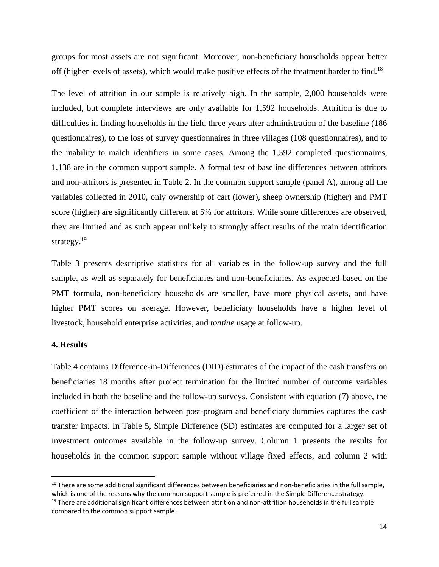groups for most assets are not significant. Moreover, non-beneficiary households appear better off (higher levels of assets), which would make positive effects of the treatment harder to find.<sup>18</sup>

The level of attrition in our sample is relatively high. In the sample, 2,000 households were included, but complete interviews are only available for 1,592 households. Attrition is due to difficulties in finding households in the field three years after administration of the baseline (186 questionnaires), to the loss of survey questionnaires in three villages (108 questionnaires), and to the inability to match identifiers in some cases. Among the 1,592 completed questionnaires, 1,138 are in the common support sample. A formal test of baseline differences between attritors and non-attritors is presented in Table 2. In the common support sample (panel A), among all the variables collected in 2010, only ownership of cart (lower), sheep ownership (higher) and PMT score (higher) are significantly different at 5% for attritors. While some differences are observed, they are limited and as such appear unlikely to strongly affect results of the main identification strategy. $19$ 

Table 3 presents descriptive statistics for all variables in the follow-up survey and the full sample, as well as separately for beneficiaries and non-beneficiaries. As expected based on the PMT formula, non-beneficiary households are smaller, have more physical assets, and have higher PMT scores on average. However, beneficiary households have a higher level of livestock, household enterprise activities, and *tontine* usage at follow-up.

#### **4. Results**

Table 4 contains Difference-in-Differences (DID) estimates of the impact of the cash transfers on beneficiaries 18 months after project termination for the limited number of outcome variables included in both the baseline and the follow-up surveys. Consistent with equation (7) above, the coefficient of the interaction between post-program and beneficiary dummies captures the cash transfer impacts. In Table 5, Simple Difference (SD) estimates are computed for a larger set of investment outcomes available in the follow-up survey. Column 1 presents the results for households in the common support sample without village fixed effects, and column 2 with

<sup>&</sup>lt;sup>18</sup> There are some additional significant differences between beneficiaries and non-beneficiaries in the full sample, which is one of the reasons why the common support sample is preferred in the Simple Difference strategy.

 $19$  There are additional significant differences between attrition and non-attrition households in the full sample compared to the common support sample.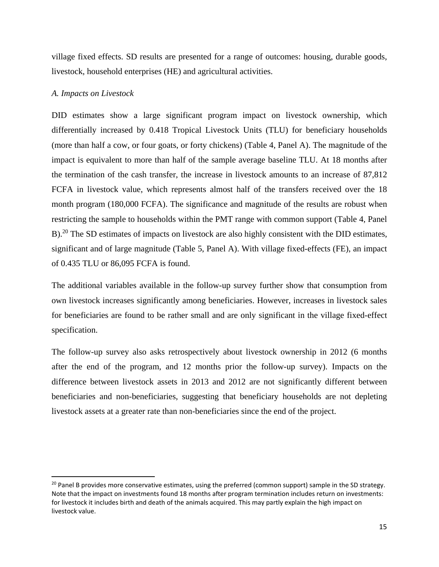village fixed effects. SD results are presented for a range of outcomes: housing, durable goods, livestock, household enterprises (HE) and agricultural activities.

#### *A. Impacts on Livestock*

DID estimates show a large significant program impact on livestock ownership, which differentially increased by 0.418 Tropical Livestock Units (TLU) for beneficiary households (more than half a cow, or four goats, or forty chickens) (Table 4, Panel A). The magnitude of the impact is equivalent to more than half of the sample average baseline TLU. At 18 months after the termination of the cash transfer, the increase in livestock amounts to an increase of 87,812 FCFA in livestock value, which represents almost half of the transfers received over the 18 month program (180,000 FCFA). The significance and magnitude of the results are robust when restricting the sample to households within the PMT range with common support (Table 4, Panel B).<sup>20</sup> The SD estimates of impacts on livestock are also highly consistent with the DID estimates, significant and of large magnitude (Table 5, Panel A). With village fixed-effects (FE), an impact of 0.435 TLU or 86,095 FCFA is found.

The additional variables available in the follow-up survey further show that consumption from own livestock increases significantly among beneficiaries. However, increases in livestock sales for beneficiaries are found to be rather small and are only significant in the village fixed-effect specification.

The follow-up survey also asks retrospectively about livestock ownership in 2012 (6 months after the end of the program, and 12 months prior the follow-up survey). Impacts on the difference between livestock assets in 2013 and 2012 are not significantly different between beneficiaries and non-beneficiaries, suggesting that beneficiary households are not depleting livestock assets at a greater rate than non-beneficiaries since the end of the project.

 $20$  Panel B provides more conservative estimates, using the preferred (common support) sample in the SD strategy. Note that the impact on investments found 18 months after program termination includes return on investments: for livestock it includes birth and death of the animals acquired. This may partly explain the high impact on livestock value.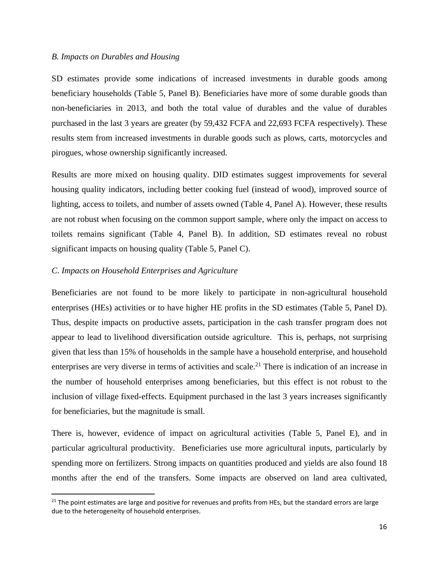#### *B. Impacts on Durables and Housing*

SD estimates provide some indications of increased investments in durable goods among beneficiary households (Table 5, Panel B). Beneficiaries have more of some durable goods than non-beneficiaries in 2013, and both the total value of durables and the value of durables purchased in the last 3 years are greater (by 59,432 FCFA and 22,693 FCFA respectively). These results stem from increased investments in durable goods such as plows, carts, motorcycles and pirogues, whose ownership significantly increased.

Results are more mixed on housing quality. DID estimates suggest improvements for several housing quality indicators, including better cooking fuel (instead of wood), improved source of lighting, access to toilets, and number of assets owned (Table 4, Panel A). However, these results are not robust when focusing on the common support sample, where only the impact on access to toilets remains significant (Table 4, Panel B). In addition, SD estimates reveal no robust significant impacts on housing quality (Table 5, Panel C).

#### *C. Impacts on Household Enterprises and Agriculture*

Beneficiaries are not found to be more likely to participate in non-agricultural household enterprises (HEs) activities or to have higher HE profits in the SD estimates (Table 5, Panel D). Thus, despite impacts on productive assets, participation in the cash transfer program does not appear to lead to livelihood diversification outside agriculture. This is, perhaps, not surprising given that less than 15% of households in the sample have a household enterprise, and household enterprises are very diverse in terms of activities and scale.<sup>21</sup> There is indication of an increase in the number of household enterprises among beneficiaries, but this effect is not robust to the inclusion of village fixed-effects. Equipment purchased in the last 3 years increases significantly for beneficiaries, but the magnitude is small.

There is, however, evidence of impact on agricultural activities (Table 5, Panel E), and in particular agricultural productivity. Beneficiaries use more agricultural inputs, particularly by spending more on fertilizers. Strong impacts on quantities produced and yields are also found 18 months after the end of the transfers. Some impacts are observed on land area cultivated,

 $21$  The point estimates are large and positive for revenues and profits from HEs, but the standard errors are large due to the heterogeneity of household enterprises.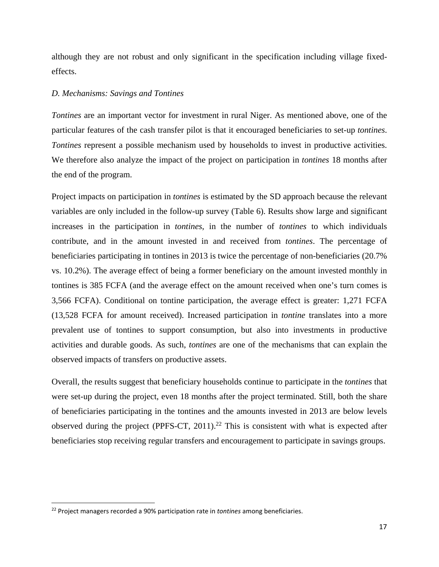although they are not robust and only significant in the specification including village fixedeffects.

#### *D. Mechanisms: Savings and Tontines*

*Tontines* are an important vector for investment in rural Niger. As mentioned above, one of the particular features of the cash transfer pilot is that it encouraged beneficiaries to set-up *tontines*. *Tontines* represent a possible mechanism used by households to invest in productive activities. We therefore also analyze the impact of the project on participation in *tontines* 18 months after the end of the program.

Project impacts on participation in *tontines* is estimated by the SD approach because the relevant variables are only included in the follow-up survey (Table 6). Results show large and significant increases in the participation in *tontines*, in the number of *tontines* to which individuals contribute, and in the amount invested in and received from *tontines*. The percentage of beneficiaries participating in tontines in 2013 is twice the percentage of non-beneficiaries (20.7% vs. 10.2%). The average effect of being a former beneficiary on the amount invested monthly in tontines is 385 FCFA (and the average effect on the amount received when one's turn comes is 3,566 FCFA). Conditional on tontine participation, the average effect is greater: 1,271 FCFA (13,528 FCFA for amount received). Increased participation in *tontine* translates into a more prevalent use of tontines to support consumption, but also into investments in productive activities and durable goods. As such, *tontines* are one of the mechanisms that can explain the observed impacts of transfers on productive assets.

Overall, the results suggest that beneficiary households continue to participate in the *tontines* that were set-up during the project, even 18 months after the project terminated. Still, both the share of beneficiaries participating in the tontines and the amounts invested in 2013 are below levels observed during the project (PPFS-CT, 2011).<sup>22</sup> This is consistent with what is expected after beneficiaries stop receiving regular transfers and encouragement to participate in savings groups.

<sup>22</sup> Project managers recorded a 90% participation rate in *tontines* among beneficiaries.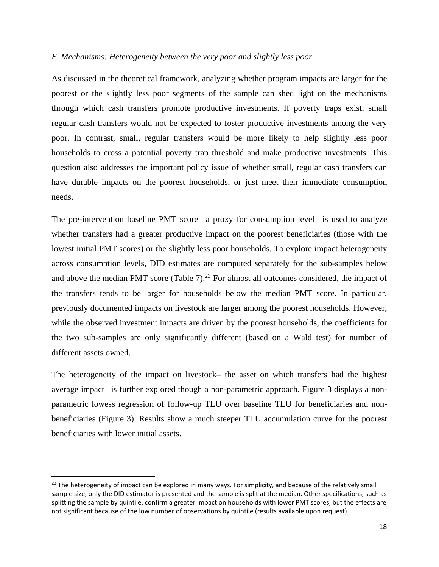#### *E. Mechanisms: Heterogeneity between the very poor and slightly less poor*

As discussed in the theoretical framework, analyzing whether program impacts are larger for the poorest or the slightly less poor segments of the sample can shed light on the mechanisms through which cash transfers promote productive investments. If poverty traps exist, small regular cash transfers would not be expected to foster productive investments among the very poor. In contrast, small, regular transfers would be more likely to help slightly less poor households to cross a potential poverty trap threshold and make productive investments. This question also addresses the important policy issue of whether small, regular cash transfers can have durable impacts on the poorest households, or just meet their immediate consumption needs.

The pre-intervention baseline PMT score– a proxy for consumption level– is used to analyze whether transfers had a greater productive impact on the poorest beneficiaries (those with the lowest initial PMT scores) or the slightly less poor households. To explore impact heterogeneity across consumption levels, DID estimates are computed separately for the sub-samples below and above the median PMT score (Table  $7$ ).<sup>23</sup> For almost all outcomes considered, the impact of the transfers tends to be larger for households below the median PMT score. In particular, previously documented impacts on livestock are larger among the poorest households. However, while the observed investment impacts are driven by the poorest households, the coefficients for the two sub-samples are only significantly different (based on a Wald test) for number of different assets owned.

The heterogeneity of the impact on livestock– the asset on which transfers had the highest average impact– is further explored though a non-parametric approach. Figure 3 displays a nonparametric lowess regression of follow-up TLU over baseline TLU for beneficiaries and nonbeneficiaries (Figure 3). Results show a much steeper TLU accumulation curve for the poorest beneficiaries with lower initial assets.

 $23$  The heterogeneity of impact can be explored in many ways. For simplicity, and because of the relatively small sample size, only the DID estimator is presented and the sample is split at the median. Other specifications, such as splitting the sample by quintile, confirm a greater impact on households with lower PMT scores, but the effects are not significant because of the low number of observations by quintile (results available upon request).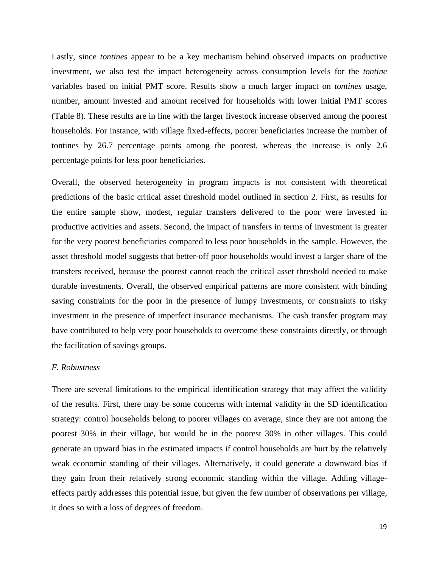Lastly, since *tontines* appear to be a key mechanism behind observed impacts on productive investment, we also test the impact heterogeneity across consumption levels for the *tontine* variables based on initial PMT score. Results show a much larger impact on *tontines* usage, number, amount invested and amount received for households with lower initial PMT scores (Table 8). These results are in line with the larger livestock increase observed among the poorest households. For instance, with village fixed-effects, poorer beneficiaries increase the number of tontines by 26.7 percentage points among the poorest, whereas the increase is only 2.6 percentage points for less poor beneficiaries.

Overall, the observed heterogeneity in program impacts is not consistent with theoretical predictions of the basic critical asset threshold model outlined in section 2. First, as results for the entire sample show, modest, regular transfers delivered to the poor were invested in productive activities and assets. Second, the impact of transfers in terms of investment is greater for the very poorest beneficiaries compared to less poor households in the sample. However, the asset threshold model suggests that better-off poor households would invest a larger share of the transfers received, because the poorest cannot reach the critical asset threshold needed to make durable investments. Overall, the observed empirical patterns are more consistent with binding saving constraints for the poor in the presence of lumpy investments, or constraints to risky investment in the presence of imperfect insurance mechanisms. The cash transfer program may have contributed to help very poor households to overcome these constraints directly, or through the facilitation of savings groups.

#### *F. Robustness*

There are several limitations to the empirical identification strategy that may affect the validity of the results. First, there may be some concerns with internal validity in the SD identification strategy: control households belong to poorer villages on average, since they are not among the poorest 30% in their village, but would be in the poorest 30% in other villages. This could generate an upward bias in the estimated impacts if control households are hurt by the relatively weak economic standing of their villages. Alternatively, it could generate a downward bias if they gain from their relatively strong economic standing within the village. Adding villageeffects partly addresses this potential issue, but given the few number of observations per village, it does so with a loss of degrees of freedom.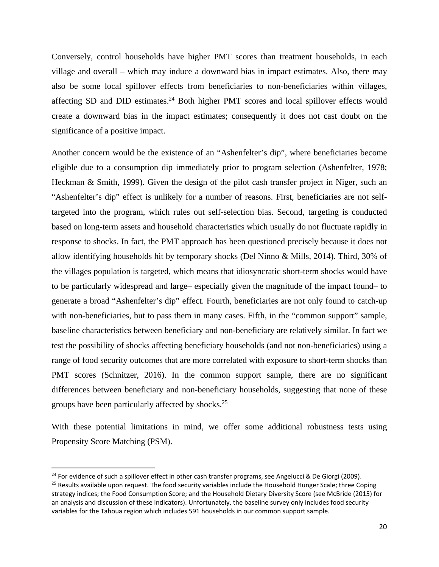Conversely, control households have higher PMT scores than treatment households, in each village and overall – which may induce a downward bias in impact estimates. Also, there may also be some local spillover effects from beneficiaries to non-beneficiaries within villages, affecting SD and DID estimates. $24$  Both higher PMT scores and local spillover effects would create a downward bias in the impact estimates; consequently it does not cast doubt on the significance of a positive impact.

Another concern would be the existence of an "Ashenfelter's dip", where beneficiaries become eligible due to a consumption dip immediately prior to program selection (Ashenfelter, 1978; Heckman & Smith, 1999). Given the design of the pilot cash transfer project in Niger, such an "Ashenfelter's dip" effect is unlikely for a number of reasons. First, beneficiaries are not selftargeted into the program, which rules out self-selection bias. Second, targeting is conducted based on long-term assets and household characteristics which usually do not fluctuate rapidly in response to shocks. In fact, the PMT approach has been questioned precisely because it does not allow identifying households hit by temporary shocks (Del Ninno & Mills, 2014). Third, 30% of the villages population is targeted, which means that idiosyncratic short-term shocks would have to be particularly widespread and large– especially given the magnitude of the impact found– to generate a broad "Ashenfelter's dip" effect. Fourth, beneficiaries are not only found to catch-up with non-beneficiaries, but to pass them in many cases. Fifth, in the "common support" sample, baseline characteristics between beneficiary and non-beneficiary are relatively similar. In fact we test the possibility of shocks affecting beneficiary households (and not non-beneficiaries) using a range of food security outcomes that are more correlated with exposure to short-term shocks than PMT scores (Schnitzer, 2016). In the common support sample, there are no significant differences between beneficiary and non-beneficiary households, suggesting that none of these groups have been particularly affected by shocks.<sup>25</sup>

With these potential limitations in mind, we offer some additional robustness tests using Propensity Score Matching (PSM).

 $24$  For evidence of such a spillover effect in other cash transfer programs, see Angelucci & De Giorgi (2009).  $25$  Results available upon request. The food security variables include the Household Hunger Scale; three Coping strategy indices; the Food Consumption Score; and the Household Dietary Diversity Score (see McBride (2015) for an analysis and discussion of these indicators). Unfortunately, the baseline survey only includes food security variables for the Tahoua region which includes 591 households in our common support sample.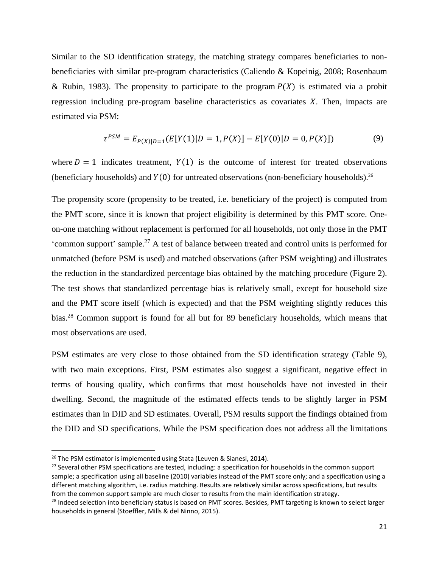Similar to the SD identification strategy, the matching strategy compares beneficiaries to nonbeneficiaries with similar pre-program characteristics (Caliendo & Kopeinig, 2008; Rosenbaum & Rubin, 1983). The propensity to participate to the program  $P(X)$  is estimated via a probit regression including pre-program baseline characteristics as covariates  $X$ . Then, impacts are estimated via PSM:

$$
\tau^{PSM} = E_{P(X)|D=1}(E[Y(1)|D=1, P(X)] - E[Y(0)|D=0, P(X)]) \tag{9}
$$

where  $D = 1$  indicates treatment,  $Y(1)$  is the outcome of interest for treated observations (beneficiary households) and  $Y(0)$  for untreated observations (non-beneficiary households).<sup>26</sup>

The propensity score (propensity to be treated, i.e. beneficiary of the project) is computed from the PMT score, since it is known that project eligibility is determined by this PMT score. Oneon-one matching without replacement is performed for all households, not only those in the PMT 'common support' sample.27 A test of balance between treated and control units is performed for unmatched (before PSM is used) and matched observations (after PSM weighting) and illustrates the reduction in the standardized percentage bias obtained by the matching procedure (Figure 2). The test shows that standardized percentage bias is relatively small, except for household size and the PMT score itself (which is expected) and that the PSM weighting slightly reduces this bias.28 Common support is found for all but for 89 beneficiary households, which means that most observations are used.

PSM estimates are very close to those obtained from the SD identification strategy (Table 9), with two main exceptions. First, PSM estimates also suggest a significant, negative effect in terms of housing quality, which confirms that most households have not invested in their dwelling. Second, the magnitude of the estimated effects tends to be slightly larger in PSM estimates than in DID and SD estimates. Overall, PSM results support the findings obtained from the DID and SD specifications. While the PSM specification does not address all the limitations

<sup>&</sup>lt;sup>26</sup> The PSM estimator is implemented using Stata (Leuven & Sianesi, 2014).

<sup>&</sup>lt;sup>27</sup> Several other PSM specifications are tested, including: a specification for households in the common support sample; a specification using all baseline (2010) variables instead of the PMT score only; and a specification using a different matching algorithm, i.e. radius matching. Results are relatively similar across specifications, but results from the common support sample are much closer to results from the main identification strategy.

<sup>&</sup>lt;sup>28</sup> Indeed selection into beneficiary status is based on PMT scores. Besides, PMT targeting is known to select larger households in general (Stoeffler, Mills & del Ninno, 2015).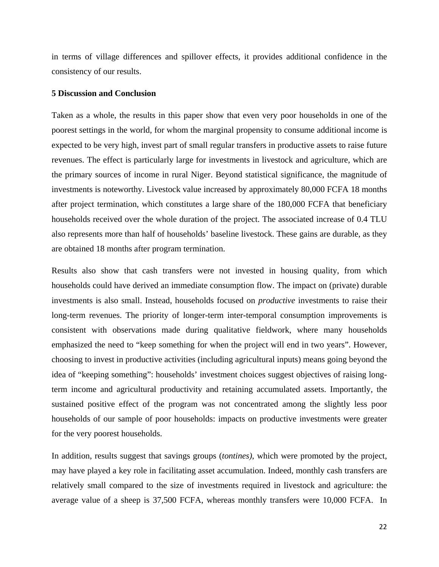in terms of village differences and spillover effects, it provides additional confidence in the consistency of our results.

#### **5 Discussion and Conclusion**

Taken as a whole, the results in this paper show that even very poor households in one of the poorest settings in the world, for whom the marginal propensity to consume additional income is expected to be very high, invest part of small regular transfers in productive assets to raise future revenues. The effect is particularly large for investments in livestock and agriculture, which are the primary sources of income in rural Niger. Beyond statistical significance, the magnitude of investments is noteworthy. Livestock value increased by approximately 80,000 FCFA 18 months after project termination, which constitutes a large share of the 180,000 FCFA that beneficiary households received over the whole duration of the project. The associated increase of 0.4 TLU also represents more than half of households' baseline livestock. These gains are durable, as they are obtained 18 months after program termination.

Results also show that cash transfers were not invested in housing quality, from which households could have derived an immediate consumption flow. The impact on (private) durable investments is also small. Instead, households focused on *productive* investments to raise their long-term revenues. The priority of longer-term inter-temporal consumption improvements is consistent with observations made during qualitative fieldwork, where many households emphasized the need to "keep something for when the project will end in two years". However, choosing to invest in productive activities (including agricultural inputs) means going beyond the idea of "keeping something": households' investment choices suggest objectives of raising longterm income and agricultural productivity and retaining accumulated assets. Importantly, the sustained positive effect of the program was not concentrated among the slightly less poor households of our sample of poor households: impacts on productive investments were greater for the very poorest households.

In addition, results suggest that savings groups (*tontines)*, which were promoted by the project, may have played a key role in facilitating asset accumulation. Indeed, monthly cash transfers are relatively small compared to the size of investments required in livestock and agriculture: the average value of a sheep is 37,500 FCFA, whereas monthly transfers were 10,000 FCFA. In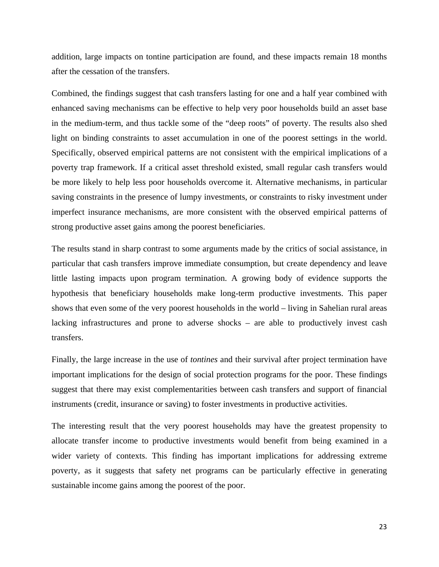addition, large impacts on tontine participation are found, and these impacts remain 18 months after the cessation of the transfers.

Combined, the findings suggest that cash transfers lasting for one and a half year combined with enhanced saving mechanisms can be effective to help very poor households build an asset base in the medium-term, and thus tackle some of the "deep roots" of poverty. The results also shed light on binding constraints to asset accumulation in one of the poorest settings in the world. Specifically, observed empirical patterns are not consistent with the empirical implications of a poverty trap framework. If a critical asset threshold existed, small regular cash transfers would be more likely to help less poor households overcome it. Alternative mechanisms, in particular saving constraints in the presence of lumpy investments, or constraints to risky investment under imperfect insurance mechanisms, are more consistent with the observed empirical patterns of strong productive asset gains among the poorest beneficiaries.

The results stand in sharp contrast to some arguments made by the critics of social assistance, in particular that cash transfers improve immediate consumption, but create dependency and leave little lasting impacts upon program termination. A growing body of evidence supports the hypothesis that beneficiary households make long-term productive investments. This paper shows that even some of the very poorest households in the world – living in Sahelian rural areas lacking infrastructures and prone to adverse shocks – are able to productively invest cash transfers.

Finally, the large increase in the use of *tontines* and their survival after project termination have important implications for the design of social protection programs for the poor. These findings suggest that there may exist complementarities between cash transfers and support of financial instruments (credit, insurance or saving) to foster investments in productive activities.

The interesting result that the very poorest households may have the greatest propensity to allocate transfer income to productive investments would benefit from being examined in a wider variety of contexts. This finding has important implications for addressing extreme poverty, as it suggests that safety net programs can be particularly effective in generating sustainable income gains among the poorest of the poor.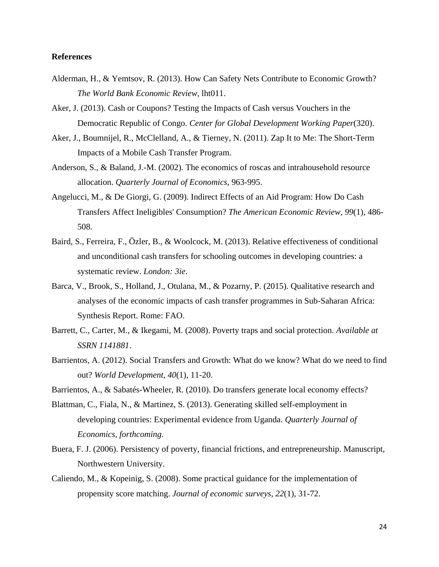#### **References**

- Alderman, H., & Yemtsov, R. (2013). How Can Safety Nets Contribute to Economic Growth? *The World Bank Economic Review*, lht011.
- Aker, J. (2013). Cash or Coupons? Testing the Impacts of Cash versus Vouchers in the Democratic Republic of Congo. *Center for Global Development Working Paper*(320).
- Aker, J., Boumnijel, R., McClelland, A., & Tierney, N. (2011). Zap It to Me: The Short-Term Impacts of a Mobile Cash Transfer Program.
- Anderson, S., & Baland, J.-M. (2002). The economics of roscas and intrahousehold resource allocation. *Quarterly Journal of Economics*, 963-995.
- Angelucci, M., & De Giorgi, G. (2009). Indirect Effects of an Aid Program: How Do Cash Transfers Affect Ineligibles' Consumption? *The American Economic Review, 99*(1), 486- 508.
- Baird, S., Ferreira, F., Özler, B., & Woolcock, M. (2013). Relative effectiveness of conditional and unconditional cash transfers for schooling outcomes in developing countries: a systematic review. *London: 3ie*.
- Barca, V., Brook, S., Holland, J., Otulana, M., & Pozarny, P. (2015). Qualitative research and analyses of the economic impacts of cash transfer programmes in Sub-Saharan Africa: Synthesis Report. Rome: FAO.
- Barrett, C., Carter, M., & Ikegami, M. (2008). Poverty traps and social protection. *Available at SSRN 1141881*.
- Barrientos, A. (2012). Social Transfers and Growth: What do we know? What do we need to find out? *World Development, 40*(1), 11-20.
- Barrientos, A., & Sabatés-Wheeler, R. (2010). Do transfers generate local economy effects?
- Blattman, C., Fiala, N., & Martinez, S. (2013). Generating skilled self-employment in developing countries: Experimental evidence from Uganda. *Quarterly Journal of Economics, forthcoming*.
- Buera, F. J. (2006). Persistency of poverty, financial frictions, and entrepreneurship. Manuscript, Northwestern University.
- Caliendo, M., & Kopeinig, S. (2008). Some practical guidance for the implementation of propensity score matching. *Journal of economic surveys, 22*(1), 31-72.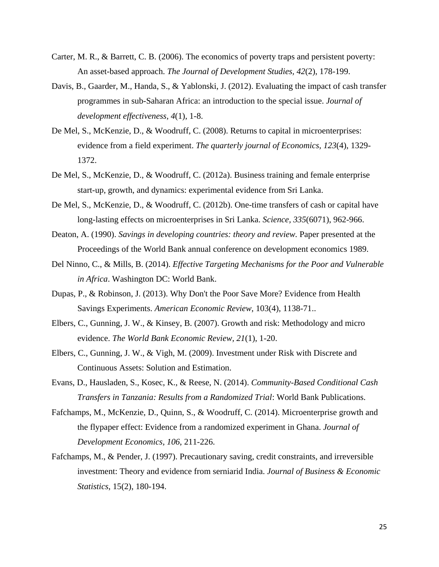- Carter, M. R., & Barrett, C. B. (2006). The economics of poverty traps and persistent poverty: An asset-based approach. *The Journal of Development Studies, 42*(2), 178-199.
- Davis, B., Gaarder, M., Handa, S., & Yablonski, J. (2012). Evaluating the impact of cash transfer programmes in sub-Saharan Africa: an introduction to the special issue. *Journal of development effectiveness, 4*(1), 1-8.
- De Mel, S., McKenzie, D., & Woodruff, C. (2008). Returns to capital in microenterprises: evidence from a field experiment. *The quarterly journal of Economics, 123*(4), 1329- 1372.
- De Mel, S., McKenzie, D., & Woodruff, C. (2012a). Business training and female enterprise start-up, growth, and dynamics: experimental evidence from Sri Lanka.
- De Mel, S., McKenzie, D., & Woodruff, C. (2012b). One-time transfers of cash or capital have long-lasting effects on microenterprises in Sri Lanka. *Science, 335*(6071), 962-966.
- Deaton, A. (1990). *Savings in developing countries: theory and review.* Paper presented at the Proceedings of the World Bank annual conference on development economics 1989.
- Del Ninno, C., & Mills, B. (2014). *Effective Targeting Mechanisms for the Poor and Vulnerable in Africa*. Washington DC: World Bank.
- Dupas, P., & Robinson, J. (2013). Why Don't the Poor Save More? Evidence from Health Savings Experiments. *American Economic Review*, 103(4), 1138-71..
- Elbers, C., Gunning, J. W., & Kinsey, B. (2007). Growth and risk: Methodology and micro evidence. *The World Bank Economic Review, 21*(1), 1-20.
- Elbers, C., Gunning, J. W., & Vigh, M. (2009). Investment under Risk with Discrete and Continuous Assets: Solution and Estimation.
- Evans, D., Hausladen, S., Kosec, K., & Reese, N. (2014). *Community-Based Conditional Cash Transfers in Tanzania: Results from a Randomized Trial*: World Bank Publications.
- Fafchamps, M., McKenzie, D., Quinn, S., & Woodruff, C. (2014). Microenterprise growth and the flypaper effect: Evidence from a randomized experiment in Ghana. *Journal of Development Economics, 106*, 211-226.
- Fafchamps, M., & Pender, J. (1997). Precautionary saving, credit constraints, and irreversible investment: Theory and evidence from serniarid India. *Journal of Business & Economic Statistics*, 15(2), 180-194.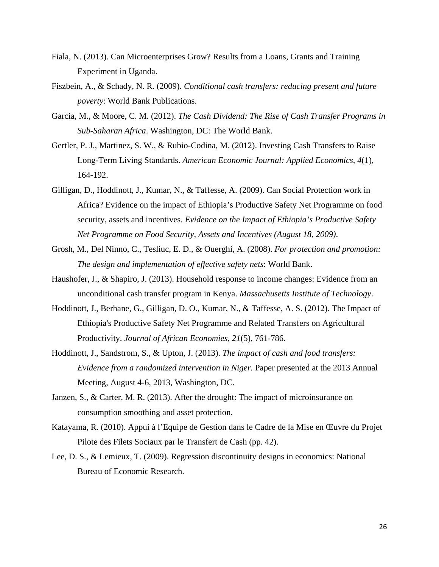- Fiala, N. (2013). Can Microenterprises Grow? Results from a Loans, Grants and Training Experiment in Uganda.
- Fiszbein, A., & Schady, N. R. (2009). *Conditional cash transfers: reducing present and future poverty*: World Bank Publications.
- Garcia, M., & Moore, C. M. (2012). *The Cash Dividend: The Rise of Cash Transfer Programs in Sub-Saharan Africa*. Washington, DC: The World Bank.
- Gertler, P. J., Martinez, S. W., & Rubio-Codina, M. (2012). Investing Cash Transfers to Raise Long-Term Living Standards. *American Economic Journal: Applied Economics, 4*(1), 164-192.
- Gilligan, D., Hoddinott, J., Kumar, N., & Taffesse, A. (2009). Can Social Protection work in Africa? Evidence on the impact of Ethiopia's Productive Safety Net Programme on food security, assets and incentives. *Evidence on the Impact of Ethiopia's Productive Safety Net Programme on Food Security, Assets and Incentives (August 18, 2009)*.
- Grosh, M., Del Ninno, C., Tesliuc, E. D., & Ouerghi, A. (2008). *For protection and promotion: The design and implementation of effective safety nets*: World Bank.
- Haushofer, J., & Shapiro, J. (2013). Household response to income changes: Evidence from an unconditional cash transfer program in Kenya. *Massachusetts Institute of Technology*.
- Hoddinott, J., Berhane, G., Gilligan, D. O., Kumar, N., & Taffesse, A. S. (2012). The Impact of Ethiopia's Productive Safety Net Programme and Related Transfers on Agricultural Productivity. *Journal of African Economies, 21*(5), 761-786.
- Hoddinott, J., Sandstrom, S., & Upton, J. (2013). *The impact of cash and food transfers: Evidence from a randomized intervention in Niger.* Paper presented at the 2013 Annual Meeting, August 4-6, 2013, Washington, DC.
- Janzen, S., & Carter, M. R. (2013). After the drought: The impact of microinsurance on consumption smoothing and asset protection.
- Katayama, R. (2010). Appui à l'Equipe de Gestion dans le Cadre de la Mise en Œuvre du Projet Pilote des Filets Sociaux par le Transfert de Cash (pp. 42).
- Lee, D. S., & Lemieux, T. (2009). Regression discontinuity designs in economics: National Bureau of Economic Research.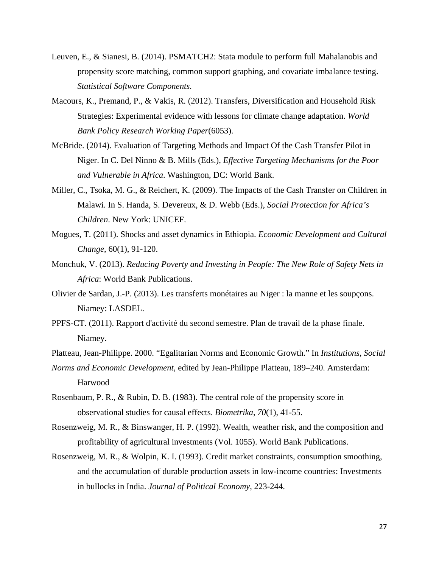- Leuven, E., & Sianesi, B. (2014). PSMATCH2: Stata module to perform full Mahalanobis and propensity score matching, common support graphing, and covariate imbalance testing. *Statistical Software Components*.
- Macours, K., Premand, P., & Vakis, R. (2012). Transfers, Diversification and Household Risk Strategies: Experimental evidence with lessons for climate change adaptation. *World Bank Policy Research Working Paper*(6053).
- McBride. (2014). Evaluation of Targeting Methods and Impact Of the Cash Transfer Pilot in Niger. In C. Del Ninno & B. Mills (Eds.), *Effective Targeting Mechanisms for the Poor and Vulnerable in Africa*. Washington, DC: World Bank.
- Miller, C., Tsoka, M. G., & Reichert, K. (2009). The Impacts of the Cash Transfer on Children in Malawi. In S. Handa, S. Devereux, & D. Webb (Eds.), *Social Protection for Africa's Children*. New York: UNICEF.
- Mogues, T. (2011). Shocks and asset dynamics in Ethiopia. *Economic Development and Cultural Change*, 60(1), 91-120.
- Monchuk, V. (2013). *Reducing Poverty and Investing in People: The New Role of Safety Nets in Africa*: World Bank Publications.
- Olivier de Sardan, J.-P. (2013). Les transferts monétaires au Niger : la manne et les soupçons. Niamey: LASDEL.
- PPFS-CT. (2011). Rapport d'activité du second semestre. Plan de travail de la phase finale. Niamey.
- Platteau, Jean-Philippe. 2000. "Egalitarian Norms and Economic Growth." In *Institutions, Social*
- *Norms and Economic Development*, edited by Jean-Philippe Platteau, 189–240. Amsterdam: Harwood
- Rosenbaum, P. R., & Rubin, D. B. (1983). The central role of the propensity score in observational studies for causal effects. *Biometrika, 70*(1), 41-55.
- Rosenzweig, M. R., & Binswanger, H. P. (1992). Wealth, weather risk, and the composition and profitability of agricultural investments (Vol. 1055). World Bank Publications.
- Rosenzweig, M. R., & Wolpin, K. I. (1993). Credit market constraints, consumption smoothing, and the accumulation of durable production assets in low-income countries: Investments in bullocks in India. *Journal of Political Economy*, 223-244.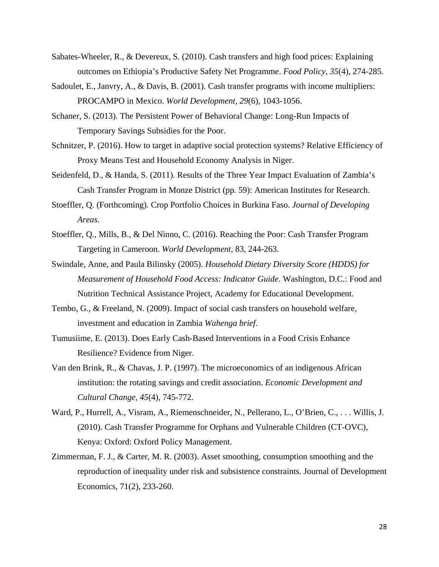- Sabates-Wheeler, R., & Devereux, S. (2010). Cash transfers and high food prices: Explaining outcomes on Ethiopia's Productive Safety Net Programme. *Food Policy, 35*(4), 274-285.
- Sadoulet, E., Janvry, A., & Davis, B. (2001). Cash transfer programs with income multipliers: PROCAMPO in Mexico. *World Development, 29*(6), 1043-1056.
- Schaner, S. (2013). The Persistent Power of Behavioral Change: Long-Run Impacts of Temporary Savings Subsidies for the Poor.
- Schnitzer, P. (2016). How to target in adaptive social protection systems? Relative Efficiency of Proxy Means Test and Household Economy Analysis in Niger.
- Seidenfeld, D., & Handa, S. (2011). Results of the Three Year Impact Evaluation of Zambia's Cash Transfer Program in Monze District (pp. 59): American Institutes for Research.
- Stoeffler, Q. (Forthcoming). Crop Portfolio Choices in Burkina Faso. *Journal of Developing Areas*.
- Stoeffler, Q., Mills, B., & Del Ninno, C. (2016). Reaching the Poor: Cash Transfer Program Targeting in Cameroon. *World Development*, 83, 244-263.
- Swindale, Anne, and Paula Bilinsky (2005). *Household Dietary Diversity Score (HDDS) for Measurement of Household Food Access: Indicator Guide*. Washington, D.C.: Food and Nutrition Technical Assistance Project, Academy for Educational Development.
- Tembo, G., & Freeland, N. (2009). Impact of social cash transfers on household welfare, investment and education in Zambia *Wahenga brief*.
- Tumusiime, E. (2013). Does Early Cash-Based Interventions in a Food Crisis Enhance Resilience? Evidence from Niger.
- Van den Brink, R., & Chavas, J. P. (1997). The microeconomics of an indigenous African institution: the rotating savings and credit association. *Economic Development and Cultural Change, 45*(4), 745-772.
- Ward, P., Hurrell, A., Visram, A., Riemenschneider, N., Pellerano, L., O'Brien, C., . . . Willis, J. (2010). Cash Transfer Programme for Orphans and Vulnerable Children (CT-OVC), Kenya: Oxford: Oxford Policy Management.
- Zimmerman, F. J., & Carter, M. R. (2003). Asset smoothing, consumption smoothing and the reproduction of inequality under risk and subsistence constraints. Journal of Development Economics, 71(2), 233-260.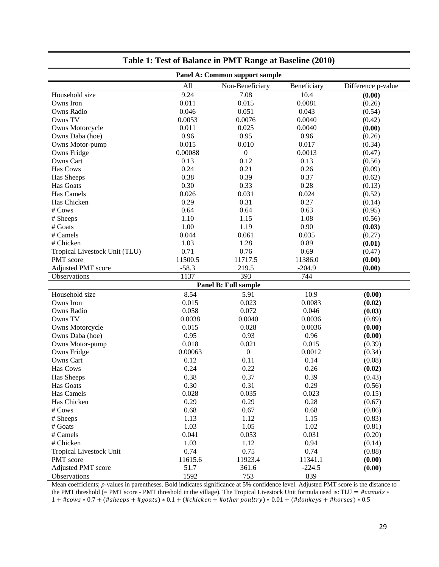| Panel A: Common support sample |         |                      |             |                    |  |  |  |
|--------------------------------|---------|----------------------|-------------|--------------------|--|--|--|
|                                | All     | Non-Beneficiary      | Beneficiary | Difference p-value |  |  |  |
| Household size                 | 9.24    | 7.08                 | 10.4        | (0.00)             |  |  |  |
| Owns Iron                      | 0.011   | 0.015                | 0.0081      | (0.26)             |  |  |  |
| Owns Radio                     | 0.046   | 0.051                | 0.043       | (0.54)             |  |  |  |
| Owns TV                        | 0.0053  | 0.0076               | 0.0040      | (0.42)             |  |  |  |
| Owns Motorcycle                | 0.011   | 0.025                | 0.0040      | (0.00)             |  |  |  |
| Owns Daba (hoe)                | 0.96    | 0.95                 | 0.96        | (0.26)             |  |  |  |
| Owns Motor-pump                | 0.015   | 0.010                | 0.017       | (0.34)             |  |  |  |
| Owns Fridge                    | 0.00088 | $\boldsymbol{0}$     | 0.0013      | (0.47)             |  |  |  |
| Owns Cart                      | 0.13    | 0.12                 | 0.13        | (0.56)             |  |  |  |
| Has Cows                       | 0.24    | 0.21                 | 0.26        | (0.09)             |  |  |  |
| Has Sheeps                     | 0.38    | 0.39                 | 0.37        | (0.62)             |  |  |  |
| Has Goats                      | 0.30    | 0.33                 | 0.28        | (0.13)             |  |  |  |
| Has Camels                     | 0.026   | 0.031                | 0.024       | (0.52)             |  |  |  |
| Has Chicken                    | 0.29    | 0.31                 | 0.27        | (0.14)             |  |  |  |
| # Cows                         | 0.64    | 0.64                 | 0.63        | (0.95)             |  |  |  |
| # Sheeps                       | 1.10    | 1.15                 | 1.08        | (0.56)             |  |  |  |
| # Goats                        | 1.00    | 1.19                 | 0.90        | (0.03)             |  |  |  |
| # Camels                       | 0.044   | 0.061                | 0.035       | (0.27)             |  |  |  |
| # Chicken                      | 1.03    | 1.28                 | 0.89        | (0.01)             |  |  |  |
| Tropical Livestock Unit (TLU)  | 0.71    | 0.76                 | 0.69        | (0.47)             |  |  |  |
| PMT score                      | 11500.5 | 11717.5              | 11386.0     | (0.00)             |  |  |  |
| <b>Adjusted PMT score</b>      | $-58.3$ | 219.5                | $-204.9$    | (0.00)             |  |  |  |
| Observations                   | 1137    | 393                  | 744         |                    |  |  |  |
|                                |         | Panel B: Full sample |             |                    |  |  |  |
| Household size                 | 8.54    | 5.91                 | 10.9        | (0.00)             |  |  |  |
| Owns Iron                      | 0.015   | 0.023                | 0.0083      | (0.02)             |  |  |  |
| Owns Radio                     | 0.058   | 0.072                | 0.046       | (0.03)             |  |  |  |
| Owns TV                        | 0.0038  | 0.0040               | 0.0036      | (0.89)             |  |  |  |
| Owns Motorcycle                | 0.015   | 0.028                | 0.0036      | (0.00)             |  |  |  |
| Owns Daba (hoe)                | 0.95    | 0.93                 | 0.96        | (0.00)             |  |  |  |
| Owns Motor-pump                | 0.018   | 0.021                | 0.015       | (0.39)             |  |  |  |
| Owns Fridge                    | 0.00063 | $\boldsymbol{0}$     | 0.0012      | (0.34)             |  |  |  |
| Owns Cart                      | 0.12    | 0.11                 | 0.14        | (0.08)             |  |  |  |
| Has Cows                       | 0.24    | 0.22                 | 0.26        | (0.02)             |  |  |  |
| Has Sheeps                     | 0.38    | 0.37                 | 0.39        | (0.43)             |  |  |  |
| Has Goats                      | 0.30    | 0.31                 | 0.29        | (0.56)             |  |  |  |
| Has Camels                     | 0.028   | 0.035                | 0.023       | (0.15)             |  |  |  |
| Has Chicken                    | 0.29    | 0.29                 | 0.28        | (0.67)             |  |  |  |
| # Cows                         | 0.68    | 0.67                 | 0.68        | (0.86)             |  |  |  |
| # Sheeps                       | 1.13    | 1.12                 | 1.15        | (0.83)             |  |  |  |
| # Goats                        | 1.03    | 1.05                 | 1.02        | (0.81)             |  |  |  |
| # Camels                       | 0.041   | 0.053                | 0.031       | (0.20)             |  |  |  |
| # Chicken                      | 1.03    | 1.12                 | 0.94        | (0.14)             |  |  |  |
| <b>Tropical Livestock Unit</b> | 0.74    | 0.75                 | 0.74        | (0.88)             |  |  |  |
| PMT score                      | 11615.6 | 11923.4              | 11341.1     | (0.00)             |  |  |  |
| Adjusted PMT score             | 51.7    | 361.6                | $-224.5$    | (0.00)             |  |  |  |
| Observations                   | 1592    | 753                  | 839         |                    |  |  |  |

| Table 1: Test of Balance in PMT Range at Baseline (2010) |  |  |
|----------------------------------------------------------|--|--|
|                                                          |  |  |

Mean coefficients; *p*-values in parentheses. Bold indicates significance at 5% confidence level. Adjusted PMT score is the distance to the PMT threshold (= PMT score - PMT threshold in the village). The Tropical Livestock Unit formula used is: TLU = # $camels$  \*  $1 + \text{\#cows} * 0.7 + (\text{\#sheeps} + \text{\#goats}) * 0.1 + (\text{\#chicken} + \text{\#other}\, \text{poultry}) * 0.01 + (\text{\#donkeys} + \text{\#horses}) * 0.5$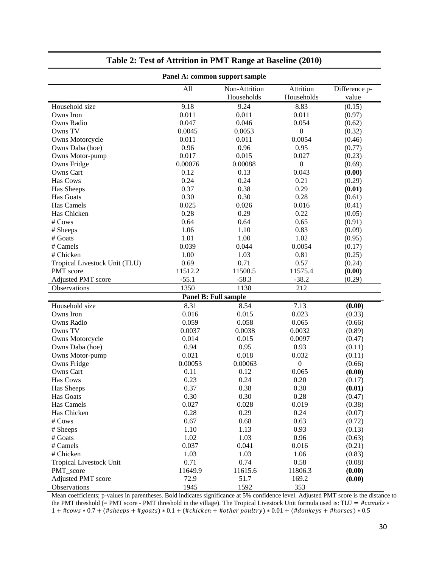| Panel A: common support sample |              |                             |                         |                        |  |  |
|--------------------------------|--------------|-----------------------------|-------------------------|------------------------|--|--|
|                                | All          | Non-Attrition<br>Households | Attrition<br>Households | Difference p-<br>value |  |  |
| Household size                 | 9.18         | 9.24                        | 8.83                    | (0.15)                 |  |  |
| Owns Iron                      | 0.011        | 0.011                       | 0.011                   | (0.97)                 |  |  |
| <b>Owns Radio</b>              | 0.047        | 0.046                       | 0.054                   | (0.62)                 |  |  |
| Owns TV                        | 0.0045       | 0.0053                      | $\boldsymbol{0}$        | (0.32)                 |  |  |
| Owns Motorcycle                | 0.011        | 0.011                       | 0.0054                  | (0.46)                 |  |  |
| Owns Daba (hoe)                | 0.96         | 0.96                        | 0.95                    | (0.77)                 |  |  |
| Owns Motor-pump                | 0.017        | 0.015                       | 0.027                   | (0.23)                 |  |  |
| Owns Fridge                    | 0.00076      | 0.00088                     | $\boldsymbol{0}$        | (0.69)                 |  |  |
| Owns Cart                      | 0.12         | 0.13                        | 0.043                   | (0.00)                 |  |  |
| Has Cows                       | 0.24         | 0.24                        | 0.21                    | (0.29)                 |  |  |
| Has Sheeps                     | 0.37         | 0.38                        | 0.29                    | (0.01)                 |  |  |
| Has Goats                      | 0.30         | 0.30                        | 0.28                    | (0.61)                 |  |  |
| Has Camels                     | 0.025        | 0.026                       | 0.016                   | (0.41)                 |  |  |
| Has Chicken                    | 0.28         | 0.29                        | 0.22                    | (0.05)                 |  |  |
| # Cows                         | 0.64         | 0.64                        | 0.65                    | (0.91)                 |  |  |
| # Sheeps                       | 1.06         | 1.10                        | 0.83                    | (0.09)                 |  |  |
| # Goats                        | 1.01         | 1.00                        | 1.02                    | (0.95)                 |  |  |
| # Camels                       | 0.039        | 0.044                       | 0.0054                  | (0.17)                 |  |  |
| # Chicken                      | 1.00         | 1.03                        | 0.81                    | (0.25)                 |  |  |
| Tropical Livestock Unit (TLU)  | 0.69         | 0.71                        | 0.57                    | (0.24)                 |  |  |
| PMT score                      | 11512.2      | 11500.5                     | 11575.4                 | (0.00)                 |  |  |
| Adjusted PMT score             | $-55.1$      | $-58.3$                     | $-38.2$                 | (0.29)                 |  |  |
| Observations                   | 1350         | 1138                        | 212                     |                        |  |  |
|                                |              | Panel B: Full sample        |                         |                        |  |  |
| Household size                 | 8.31         | 8.54                        | 7.13                    | (0.00)                 |  |  |
| Owns Iron                      | 0.016        | 0.015                       | 0.023                   | (0.33)                 |  |  |
| Owns Radio                     | 0.059        | 0.058                       | 0.065                   | (0.66)                 |  |  |
| Owns TV                        | 0.0037       | 0.0038                      | 0.0032                  | (0.89)                 |  |  |
| Owns Motorcycle                | 0.014        | 0.015                       | 0.0097                  | (0.47)                 |  |  |
| Owns Daba (hoe)                | 0.94         | 0.95                        | 0.93                    |                        |  |  |
| Owns Motor-pump                | 0.021        | 0.018                       | 0.032                   | (0.11)                 |  |  |
|                                | 0.00053      | 0.00063                     | $\boldsymbol{0}$        | (0.11)<br>(0.66)       |  |  |
| Owns Fridge                    |              |                             |                         |                        |  |  |
| Owns Cart<br>Has Cows          | 0.11<br>0.23 | 0.12<br>0.24                | 0.065                   | (0.00)                 |  |  |
|                                |              |                             | 0.20                    | (0.17)                 |  |  |
| Has Sheeps                     | 0.37         | 0.38                        | 0.30                    | (0.01)                 |  |  |
| Has Goats                      | 0.30         | 0.30                        | 0.28                    | (0.47)                 |  |  |
| Has Camels                     | 0.027        | 0.028                       | 0.019                   | (0.38)                 |  |  |
| Has Chicken                    | 0.28         | 0.29                        | 0.24                    | (0.07)                 |  |  |
| # Cows                         | 0.67         | 0.68                        | 0.63                    | (0.72)                 |  |  |
| # Sheeps                       | 1.10         | 1.13                        | 0.93                    | (0.13)                 |  |  |
| # Goats                        | 1.02         | 1.03                        | 0.96                    | (0.63)                 |  |  |
| # Camels                       | 0.037        | 0.041                       | 0.016                   | (0.21)                 |  |  |
| # Chicken                      | 1.03         | 1.03                        | 1.06                    | (0.83)                 |  |  |
| <b>Tropical Livestock Unit</b> | 0.71         | 0.74                        | 0.58                    | (0.08)                 |  |  |
| PMT_score                      | 11649.9      | 11615.6                     | 11806.3                 | (0.00)                 |  |  |
| Adjusted PMT score             | 72.9         | 51.7                        | 169.2                   | (0.00)                 |  |  |
| Observations                   | 1945         | 1592                        | 353                     |                        |  |  |

#### **Table 2: Test of Attrition in PMT Range at Baseline (2010)**

Mean coefficients; p-values in parentheses. Bold indicates significance at 5% confidence level. Adjusted PMT score is the distance to the PMT threshold (= PMT score - PMT threshold in the village). The Tropical Livestock Unit formula used is: TLU = # $camels$  \*  $1 + \text{\#cows} * 0.7 + (\text{\#sheeps} + \text{\#goats}) * 0.1 + (\text{\#chicken} + \text{\#other}\, \text{poultry}) * 0.01 + (\text{\#donkeys} + \text{\#horses}) * 0.5$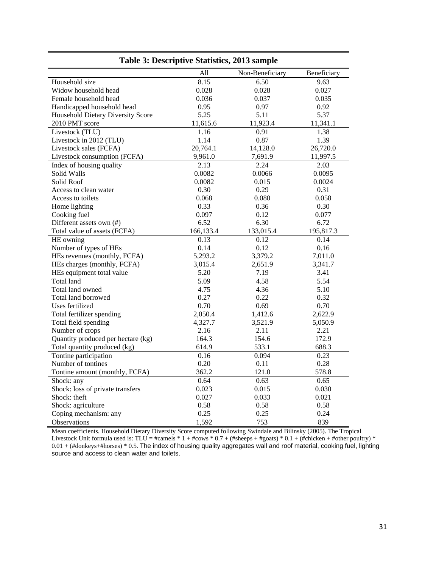| Lable 5. Descriptive Statistics, 2015 sample |           |                 |             |  |  |  |  |  |
|----------------------------------------------|-----------|-----------------|-------------|--|--|--|--|--|
|                                              | All       | Non-Beneficiary | Beneficiary |  |  |  |  |  |
| Household size                               | 8.15      | 6.50            | 9.63        |  |  |  |  |  |
| Widow household head                         | 0.028     | 0.028           | 0.027       |  |  |  |  |  |
| Female household head                        | 0.036     | 0.037           | 0.035       |  |  |  |  |  |
| Handicapped household head                   | 0.95      | 0.97            | 0.92        |  |  |  |  |  |
| Household Dietary Diversity Score            | 5.25      | 5.11            | 5.37        |  |  |  |  |  |
| 2010 PMT score                               | 11,615.6  | 11,923.4        | 11,341.1    |  |  |  |  |  |
| Livestock (TLU)                              | 1.16      | 0.91            | 1.38        |  |  |  |  |  |
| Livestock in 2012 (TLU)                      | 1.14      | 0.87            | 1.39        |  |  |  |  |  |
| Livestock sales (FCFA)                       | 20,764.1  | 14,128.0        | 26,720.0    |  |  |  |  |  |
| Livestock consumption (FCFA)                 | 9,961.0   | 7,691.9         | 11,997.5    |  |  |  |  |  |
| Index of housing quality                     | 2.13      | 2.24            | 2.03        |  |  |  |  |  |
| Solid Walls                                  | 0.0082    | 0.0066          | 0.0095      |  |  |  |  |  |
| Solid Roof                                   | 0.0082    | 0.015           | 0.0024      |  |  |  |  |  |
| Access to clean water                        | 0.30      | 0.29            | 0.31        |  |  |  |  |  |
| Access to toilets                            | 0.068     | 0.080           | 0.058       |  |  |  |  |  |
| Home lighting                                | 0.33      | 0.36            | 0.30        |  |  |  |  |  |
| Cooking fuel                                 | 0.097     | 0.12            | 0.077       |  |  |  |  |  |
| Different assets own (#)                     | 6.52      | 6.30            | 6.72        |  |  |  |  |  |
| Total value of assets (FCFA)                 | 166,133.4 | 133,015.4       | 195,817.3   |  |  |  |  |  |
| HE owning                                    | 0.13      | 0.12            | 0.14        |  |  |  |  |  |
| Number of types of HEs                       | 0.14      | 0.12            | 0.16        |  |  |  |  |  |
| HEs revenues (monthly, FCFA)                 | 5,293.2   | 3,379.2         | 7,011.0     |  |  |  |  |  |
| HEs charges (monthly, FCFA)                  | 3,015.4   | 2,651.9         | 3,341.7     |  |  |  |  |  |
| HEs equipment total value                    | 5.20      | 7.19            | 3.41        |  |  |  |  |  |
| <b>Total land</b>                            | 5.09      | 4.58            | 5.54        |  |  |  |  |  |
| Total land owned                             | 4.75      | 4.36            | 5.10        |  |  |  |  |  |
| Total land borrowed                          | 0.27      | 0.22            | 0.32        |  |  |  |  |  |
| Uses fertilized                              | 0.70      | 0.69            | 0.70        |  |  |  |  |  |
| Total fertilizer spending                    | 2,050.4   | 1,412.6         | 2,622.9     |  |  |  |  |  |
| Total field spending                         | 4,327.7   | 3,521.9         | 5,050.9     |  |  |  |  |  |
| Number of crops                              | 2.16      | 2.11            | 2.21        |  |  |  |  |  |
| Quantity produced per hectare (kg)           | 164.3     | 154.6           | 172.9       |  |  |  |  |  |
| Total quantity produced (kg)                 | 614.9     | 533.1           | 688.3       |  |  |  |  |  |
| Tontine participation                        | 0.16      | 0.094           | 0.23        |  |  |  |  |  |
| Number of tontines                           | 0.20      | 0.11            | 0.28        |  |  |  |  |  |
| Tontine amount (monthly, FCFA)               | 362.2     | 121.0           | 578.8       |  |  |  |  |  |
| Shock: any                                   | 0.64      | 0.63            | 0.65        |  |  |  |  |  |
| Shock: loss of private transfers             | 0.023     | 0.015           | 0.030       |  |  |  |  |  |
| Shock: theft                                 | 0.027     | 0.033           | 0.021       |  |  |  |  |  |
| Shock: agriculture                           | 0.58      | 0.58            | 0.58        |  |  |  |  |  |
| Coping mechanism: any                        | 0.25      | 0.25            | 0.24        |  |  |  |  |  |
| Observations                                 | 1,592     | 753             | 839         |  |  |  |  |  |

**Table 3: Descriptive Statistics, 2013 sample** 

Mean coefficients. Household Dietary Diversity Score computed following Swindale and Bilinsky (2005). The Tropical Livestock Unit formula used is: TLU = #camels  $* 1 + #{\rm cows} * 0.7 + (#{\rm sheeps} + #{\rm goats}) * 0.1 + (#{\rm chicken} + #{\rm other\,poultry}) *$ 0.01 + (#donkeys+#horses) \* 0.5. The index of housing quality aggregates wall and roof material, cooking fuel, lighting source and access to clean water and toilets.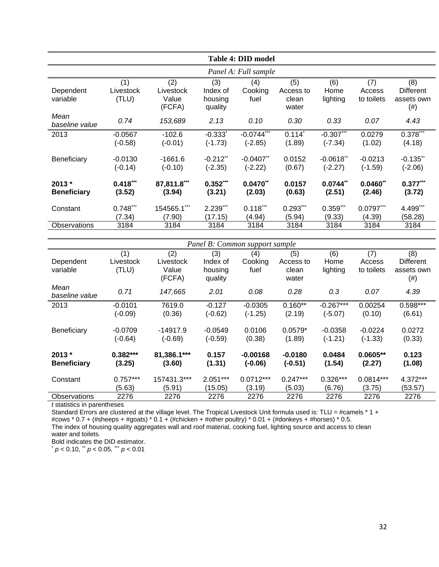| <b>Table 4: DID model</b>     |                           |                                     |                                       |                                       |                                    |                           |                             |                                                 |  |  |
|-------------------------------|---------------------------|-------------------------------------|---------------------------------------|---------------------------------------|------------------------------------|---------------------------|-----------------------------|-------------------------------------------------|--|--|
|                               | Panel A: Full sample      |                                     |                                       |                                       |                                    |                           |                             |                                                 |  |  |
| Dependent<br>variable         | (1)<br>Livestock<br>(TLU) | (2)<br>Livestock<br>Value<br>(FCFA) | (3)<br>Index of<br>housing<br>quality | (4)<br>Cooking<br>fuel                | (5)<br>Access to<br>clean<br>water | (6)<br>Home<br>lighting   | (7)<br>Access<br>to toilets | (8)<br><b>Different</b><br>assets own<br>$(\#)$ |  |  |
| Mean<br>baseline value        | 0.74                      | 153,689                             | 2.13                                  | 0.10                                  | 0.30                               | 0.33                      | 0.07                        | 4.43                                            |  |  |
| 2013                          | $-0.0567$<br>$(-0.58)$    | $-102.6$<br>$(-0.01)$               | $-0.333$ <sup>*</sup><br>$(-1.73)$    | $-0.0744$ <sup>***</sup><br>$(-2.85)$ | $0.114^*$<br>(1.89)                | $-0.307***$<br>$(-7.34)$  | 0.0279<br>(1.02)            | $0.378***$<br>(4.18)                            |  |  |
| Beneficiary                   | $-0.0130$<br>$(-0.14)$    | $-1661.6$<br>$(-0.10)$              | $-0.212$ **<br>$(-2.35)$              | $-0.0407$ **<br>$(-2.22)$             | 0.0152<br>(0.67)                   | $-0.0618$ **<br>$(-2.27)$ | $-0.0213$<br>$(-1.59)$      | $-0.135$ **<br>$(-2.06)$                        |  |  |
| $2013*$<br><b>Beneficiary</b> | $0.418***$<br>(3.52)      | 87,811.8***<br>(3.94)               | $0.352***$<br>(3.21)                  | $0.0470**$<br>(2.03)                  | 0.0157<br>(0.63)                   | $0.0744$ **<br>(2.51)     | $0.0460$ **<br>(2.46)       | $0.377***$<br>(3.72)                            |  |  |
| Constant                      | $0.748***$<br>(7.34)      | 154565.1***<br>(7.90)               | 2.239***<br>(17.15)                   | $0.118***$<br>(4.94)                  | $0.293***$<br>(5.94)               | $0.359***$<br>(9.33)      | $0.0797***$<br>(4.39)       | 4.499***<br>(58.28)                             |  |  |
| <b>Observations</b>           | 3184                      | 3184                                | 3184                                  | 3184                                  | 3184                               | 3184                      | 3184                        | 3184                                            |  |  |

| Panel B: Common support sample |            |             |            |             |            |             |             |                  |
|--------------------------------|------------|-------------|------------|-------------|------------|-------------|-------------|------------------|
|                                | (1)        | (2)         | (3)        | (4)         | (5)        | (6)         | (7)         | (8)              |
| Dependent                      | Livestock  | Livestock   | Index of   | Cooking     | Access to  | Home        | Access      | <b>Different</b> |
| variable                       | (TLU)      | Value       | housing    | fuel        | clean      | lighting    | to toilets  | assets own       |
|                                |            | (FCFA)      | quality    |             | water      |             |             | (# )             |
| Mean                           | 0.71       | 147,665     | 2.01       | 0.08        | 0.28       | 0.3         | 0.07        | 4.39             |
| baseline value                 |            |             |            |             |            |             |             |                  |
| 2013                           | $-0.0101$  | 7619.0      | $-0.127$   | $-0.0305$   | $0.160**$  | $-0.267***$ | 0.00254     | 0.598***         |
|                                | $(-0.09)$  | (0.36)      | $(-0.62)$  | $(-1.25)$   | (2.19)     | $(-5.07)$   | (0.10)      | (6.61)           |
|                                |            |             |            |             |            |             |             |                  |
| Beneficiary                    | $-0.0709$  | $-14917.9$  | $-0.0549$  | 0.0106      | $0.0579*$  | $-0.0358$   | $-0.0224$   | 0.0272           |
|                                | $(-0.64)$  | $(-0.69)$   | $(-0.59)$  | (0.38)      | (1.89)     | $(-1.21)$   | $(-1.33)$   | (0.33)           |
| $2013 *$                       | $0.382***$ | 81,386.1*** | 0.157      | $-0.00168$  | $-0.0180$  | 0.0484      | $0.0605**$  | 0.123            |
| <b>Beneficiary</b>             | (3.25)     | (3.60)      | (1.31)     | $(-0.06)$   | $(-0.51)$  | (1.54)      | (2.27)      | (1.08)           |
|                                |            |             |            |             |            |             |             |                  |
| Constant                       | $0.757***$ | 157431.3*** | $2.051***$ | $0.0712***$ | $0.247***$ | $0.326***$  | $0.0814***$ | 4.372***         |
|                                | (5.63)     | (5.91)      | (15.05)    | (3.19)      | (5.03)     | (6.76)      | (3.75)      | (53.57)          |
| <b>Observations</b>            | 2276       | 2276        | 2276       | 2276        | 2276       | 2276        | 2276        | 2276             |

*t* statistics in parentheses

Standard Errors are clustered at the village level. The Tropical Livestock Unit formula used is: TLU = #camels \* 1 +

#cows \* 0.7 + (#sheeps + #goats) \* 0.1 + (#chicken + #other poultry) \* 0.01 + (#donkeys + #horses) \* 0.5.

The index of housing quality aggregates wall and roof material, cooking fuel, lighting source and access to clean water and toilets.

Bold indicates the DID estimator.

\* *p* < 0.10, \*\* *p* < 0.05, \*\*\* *p* < 0.01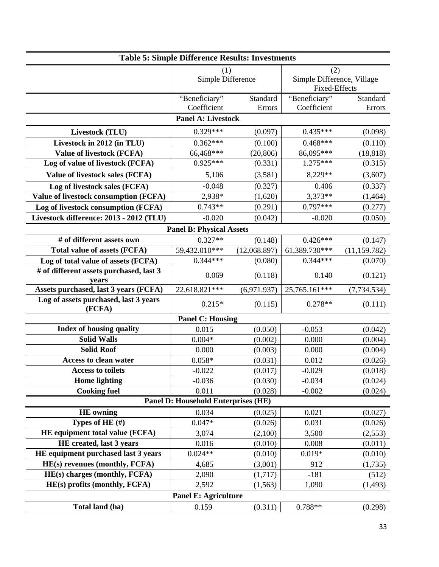| <b>Table 5: Simple Difference Results: Investments</b> |                                            |              |                                                    |               |  |  |  |
|--------------------------------------------------------|--------------------------------------------|--------------|----------------------------------------------------|---------------|--|--|--|
|                                                        | (1)<br>Simple Difference                   |              | (2)                                                |               |  |  |  |
|                                                        |                                            |              | Simple Difference, Village<br><b>Fixed-Effects</b> |               |  |  |  |
|                                                        | "Beneficiary"                              | Standard     | "Beneficiary"                                      | Standard      |  |  |  |
|                                                        | Coefficient<br><b>Panel A: Livestock</b>   | Errors       | Coefficient                                        | Errors        |  |  |  |
|                                                        |                                            |              |                                                    |               |  |  |  |
| Livestock (TLU)                                        | $0.329***$                                 | (0.097)      | $0.435***$                                         | (0.098)       |  |  |  |
| Livestock in 2012 (in TLU)                             | $0.362***$                                 | (0.100)      | $0.468***$                                         | (0.110)       |  |  |  |
| <b>Value of livestock (FCFA)</b>                       | 66,468***                                  | (20, 806)    | 86,095***                                          | (18, 818)     |  |  |  |
| Log of value of livestock (FCFA)                       | $0.925***$                                 | (0.331)      | $1.275***$                                         | (0.315)       |  |  |  |
| Value of livestock sales (FCFA)                        | 5,106                                      | (3,581)      | 8,229**                                            | (3,607)       |  |  |  |
| Log of livestock sales (FCFA)                          | $-0.048$                                   | (0.327)      | 0.406                                              | (0.337)       |  |  |  |
| <b>Value of livestock consumption (FCFA)</b>           | 2,938*                                     | (1,620)      | 3,373**                                            | (1,464)       |  |  |  |
| Log of livestock consumption (FCFA)                    | $0.743**$                                  | (0.291)      | $0.797***$                                         | (0.277)       |  |  |  |
| Livestock difference: 2013 - 2012 (TLU)                | $-0.020$                                   | (0.042)      | $-0.020$                                           | (0.050)       |  |  |  |
|                                                        | <b>Panel B: Physical Assets</b>            |              |                                                    |               |  |  |  |
| # of different assets own                              | $0.327**$                                  | (0.148)      | $0.426***$                                         | (0.147)       |  |  |  |
| <b>Total value of assets (FCFA)</b>                    | 59,432.010***                              | (12,068.897) | 61,389.730***                                      | (11, 159.782) |  |  |  |
| Log of total value of assets (FCFA)                    | $0.344***$                                 | (0.080)      | $0.344***$                                         | (0.070)       |  |  |  |
| # of different assets purchased, last 3                | 0.069                                      | (0.118)      | 0.140                                              | (0.121)       |  |  |  |
| years                                                  |                                            |              |                                                    |               |  |  |  |
| Assets purchased, last 3 years (FCFA)                  | 22,618.821***                              | (6,971.937)  | 25,765.161***                                      | (7, 734.534)  |  |  |  |
| Log of assets purchased, last 3 years<br>(FCFA)        | $0.215*$                                   | (0.115)      | $0.278**$                                          | (0.111)       |  |  |  |
|                                                        | <b>Panel C: Housing</b>                    |              |                                                    |               |  |  |  |
| <b>Index of housing quality</b>                        | 0.015                                      | (0.050)      | $-0.053$                                           | (0.042)       |  |  |  |
| <b>Solid Walls</b>                                     | $0.004*$                                   | (0.002)      | 0.000                                              | (0.004)       |  |  |  |
| <b>Solid Roof</b>                                      | 0.000                                      | (0.003)      | 0.000                                              | (0.004)       |  |  |  |
| <b>Access to clean water</b>                           | $0.058*$                                   | (0.031)      | 0.012                                              | (0.026)       |  |  |  |
| <b>Access to toilets</b>                               | $-0.022$                                   | (0.017)      | $-0.029$                                           | (0.018)       |  |  |  |
| <b>Home</b> lighting                                   | $-0.036$                                   | (0.030)      | $-0.034$                                           | (0.024)       |  |  |  |
| <b>Cooking fuel</b>                                    | 0.011                                      | (0.028)      | $-0.002$                                           | (0.024)       |  |  |  |
|                                                        | <b>Panel D: Household Enterprises (HE)</b> |              |                                                    |               |  |  |  |
| <b>HE</b> owning                                       | 0.034                                      | (0.025)      | 0.021                                              | (0.027)       |  |  |  |
| Types of HE $(H)$                                      | $0.047*$                                   | (0.026)      | 0.031                                              | (0.026)       |  |  |  |
| HE equipment total value (FCFA)                        | 3,074                                      | (2,100)      | 3,500                                              | (2, 553)      |  |  |  |
| HE created, last 3 years                               | 0.016                                      | (0.010)      | 0.008                                              | (0.011)       |  |  |  |
| HE equipment purchased last 3 years                    | $0.024**$                                  | (0.010)      | $0.019*$                                           | (0.010)       |  |  |  |
| HE(s) revenues (monthly, FCFA)                         | 4,685                                      | (3,001)      | 912                                                | (1,735)       |  |  |  |
| HE(s) charges (monthly, FCFA)                          | 2,090                                      | (1,717)      | $-181$                                             | (512)         |  |  |  |
| HE(s) profits (monthly, FCFA)                          | 2,592                                      | (1, 563)     | 1,090                                              | (1,493)       |  |  |  |
|                                                        | <b>Panel E: Agriculture</b>                |              |                                                    |               |  |  |  |
| Total land (ha)                                        | 0.159                                      | (0.311)      | $0.788**$                                          | (0.298)       |  |  |  |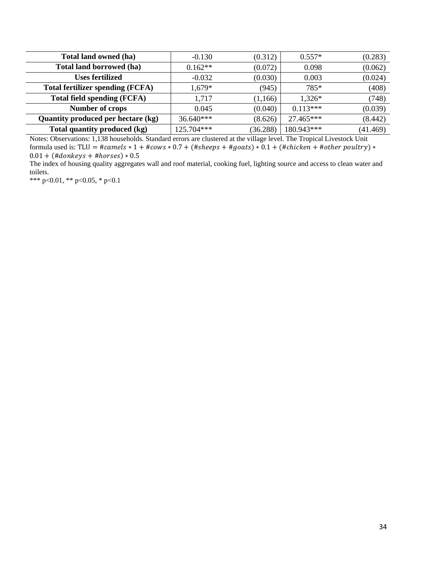| Total land owned (ha)                   | $-0.130$    | (0.312)  | $0.557*$   | (0.283)  |
|-----------------------------------------|-------------|----------|------------|----------|
| Total land borrowed (ha)                | $0.162**$   | (0.072)  | 0.098      | (0.062)  |
| <b>Uses fertilized</b>                  | $-0.032$    | (0.030)  | 0.003      | (0.024)  |
| <b>Total fertilizer spending (FCFA)</b> | 1,679*      | (945)    | 785*       | (408)    |
| <b>Total field spending (FCFA)</b>      | 1,717       | (1, 166) | $1,326*$   | (748)    |
| <b>Number of crops</b>                  | 0.045       | (0.040)  | $0.113***$ | (0.039)  |
| Quantity produced per hectare (kg)      | $36.640***$ | (8.626)  | 27.465***  | (8.442)  |
| Total quantity produced (kg)            | 125.704***  | (36.288) | 180.943*** | (41.469) |

Notes: Observations: 1,138 households. Standard errors are clustered at the village level. The Tropical Livestock Unit formula used is: TLU =  $\#camels * 1 + \# cows * 0.7 + (\# sheeps + \# goats) * 0.1 + (\# chicken + \# other \cdot pour) *$  $0.01 + (\# donkeys + \# horses) * 0.5$ 

The index of housing quality aggregates wall and roof material, cooking fuel, lighting source and access to clean water and toilets.

\*\*\* p<0.01, \*\* p<0.05, \* p<0.1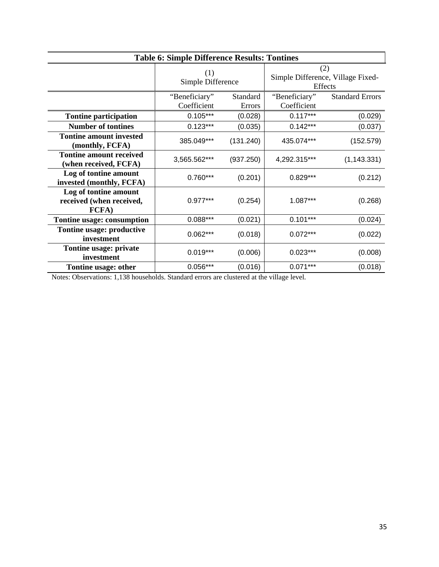| <b>Table 6: Simple Difference Results: Tontines</b>        |                              |                    |                              |                                                     |  |  |
|------------------------------------------------------------|------------------------------|--------------------|------------------------------|-----------------------------------------------------|--|--|
|                                                            | (1)<br>Simple Difference     |                    |                              | (2)<br>Simple Difference, Village Fixed-<br>Effects |  |  |
|                                                            | "Beneficiary"<br>Coefficient | Standard<br>Errors | "Beneficiary"<br>Coefficient | <b>Standard Errors</b>                              |  |  |
| <b>Tontine participation</b>                               | $0.105***$                   | (0.028)            | $0.117***$                   | (0.029)                                             |  |  |
| <b>Number of tontines</b>                                  | $0.123***$                   | (0.035)            | $0.142***$                   | (0.037)                                             |  |  |
| <b>Tontine amount invested</b><br>(monthly, FCFA)          | 385.049***                   | (131.240)          | 435.074***                   | (152.579)                                           |  |  |
| <b>Tontine amount received</b><br>(when received, FCFA)    | 3,565.562***                 | (937.250)          | 4,292.315***                 | (1, 143.331)                                        |  |  |
| Log of tontine amount<br>invested (monthly, FCFA)          | $0.760***$                   | (0.201)            | $0.829***$                   | (0.212)                                             |  |  |
| Log of tontine amount<br>received (when received,<br>FCFA) | $0.977***$                   | (0.254)            | 1.087***                     | (0.268)                                             |  |  |
| Tontine usage: consumption                                 | $0.088***$                   | (0.021)            | $0.101***$                   | (0.024)                                             |  |  |
| Tontine usage: productive<br>investment                    | $0.062***$                   | (0.018)            | $0.072***$                   | (0.022)                                             |  |  |
| Tontine usage: private<br>investment                       | $0.019***$                   | (0.006)            | $0.023***$                   | (0.008)                                             |  |  |
| Tontine usage: other                                       | $0.056***$                   | (0.016)            | $0.071***$                   | (0.018)                                             |  |  |

Notes: Observations: 1,138 households. Standard errors are clustered at the village level.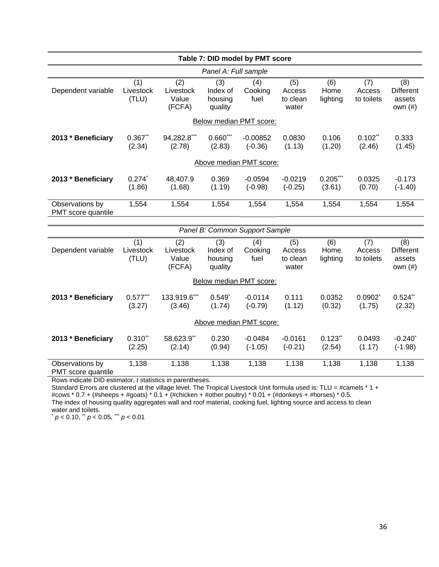| Table 7: DID model by PMT score       |                           |                                     |                                       |                                |                                    |                         |                             |                                                 |
|---------------------------------------|---------------------------|-------------------------------------|---------------------------------------|--------------------------------|------------------------------------|-------------------------|-----------------------------|-------------------------------------------------|
|                                       |                           |                                     | Panel A: Full sample                  |                                |                                    |                         |                             |                                                 |
| Dependent variable                    | (1)<br>Livestock<br>(TLU) | (2)<br>Livestock<br>Value<br>(FCFA) | (3)<br>Index of<br>housing<br>quality | (4)<br>Cooking<br>fuel         | (5)<br>Access<br>to clean<br>water | (6)<br>Home<br>lighting | (7)<br>Access<br>to toilets | (8)<br><b>Different</b><br>assets<br>own $(\#)$ |
|                                       |                           |                                     |                                       | Below median PMT score:        |                                    |                         |                             |                                                 |
| 2013 * Beneficiary                    | $0.367$ **<br>(2.34)      | 94,282.8***<br>(2.78)               | $0.660***$<br>(2.83)                  | $-0.00852$<br>$(-0.36)$        | 0.0830<br>(1.13)                   | 0.106<br>(1.20)         | $0.102$ **<br>(2.46)        | 0.333<br>(1.45)                                 |
|                                       |                           |                                     |                                       | Above median PMT score:        |                                    |                         |                             |                                                 |
| 2013 * Beneficiary                    | $0.274^{*}$<br>(1.86)     | 48,407.9<br>(1.68)                  | 0.369<br>(1.19)                       | $-0.0594$<br>$(-0.98)$         | $-0.0219$<br>$(-0.25)$             | $0.205***$<br>(3.61)    | 0.0325<br>(0.70)            | $-0.173$<br>$(-1.40)$                           |
| Observations by<br>PMT score quantile | 1,554                     | 1,554                               | 1,554                                 | 1,554                          | 1,554                              | 1,554                   | 1,554                       | 1,554                                           |
|                                       |                           |                                     |                                       |                                |                                    |                         |                             |                                                 |
|                                       |                           |                                     |                                       | Panel B: Common Support Sample |                                    |                         |                             |                                                 |
| Dependent variable                    | (1)<br>Livestock<br>(TLU) | (2)<br>Livestock<br>Value<br>(FCFA) | (3)<br>Index of<br>housing<br>quality | (4)<br>Cooking<br>fuel         | (5)<br>Access<br>to clean<br>water | (6)<br>Home<br>lighting | (7)<br>Access<br>to toilets | (8)<br><b>Different</b><br>assets<br>own $(\#)$ |
|                                       |                           |                                     |                                       | Below median PMT score:        |                                    |                         |                             |                                                 |
| 2013 * Beneficiary                    | $0.577***$<br>(3.27)      | 133,919.6***<br>(3.46)              | $0.549^{*}$<br>(1.74)                 | $-0.0114$<br>$(-0.79)$         | 0.111<br>(1.12)                    | 0.0352<br>(0.32)        | $0.0902^*$<br>(1.75)        | $0.524$ **<br>(2.32)                            |
|                                       |                           |                                     |                                       | Above median PMT score:        |                                    |                         |                             |                                                 |
| 2013 * Beneficiary                    | $0.310**$<br>(2.25)       | 58,623.9**<br>(2.14)                | 0.230<br>(0.94)                       | $-0.0484$<br>$(-1.05)$         | $-0.0161$<br>$(-0.21)$             | $0.123$ **<br>(2.54)    | 0.0493<br>(1.17)            | $-0.240$ <sup>*</sup><br>$(-1.98)$              |
| Observations by<br>PMT score quantile | 1,138                     | 1,138                               | 1,138                                 | 1,138                          | 1,138                              | 1,138                   | 1,138                       | 1,138                                           |

Rows indicate DID estimator, *t* statistics in parentheses.

Standard Errors are clustered at the village level. The Tropical Livestock Unit formula used is: TLU = #camels \* 1 + #cows \* 0.7 + (#sheeps + #goats) \* 0.1 + (#chicken + #other poultry) \* 0.01 + (#donkeys + #horses) \* 0.5. The index of housing quality aggregates wall and roof material, cooking fuel, lighting source and access to clean water and toilets.

\* *p* < 0.10, \*\* *p* < 0.05, \*\*\* *p* < 0.01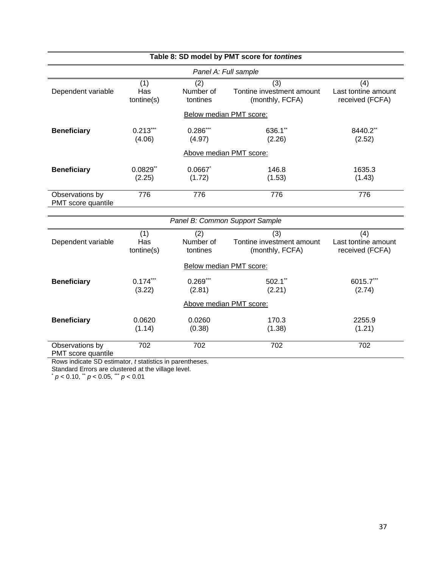| Table 8: SD model by PMT score for tontines |                          |                              |                                                                  |                                               |  |  |
|---------------------------------------------|--------------------------|------------------------------|------------------------------------------------------------------|-----------------------------------------------|--|--|
|                                             |                          | Panel A: Full sample         |                                                                  |                                               |  |  |
| Dependent variable                          | (1)<br>Has<br>tontine(s) | (2)<br>Number of<br>tontines | $\overline{(3)}$<br>Tontine investment amount<br>(monthly, FCFA) | (4)<br>Last tontine amount<br>received (FCFA) |  |  |
|                                             |                          | Below median PMT score:      |                                                                  |                                               |  |  |
| <b>Beneficiary</b>                          | $0.213$ ***<br>(4.06)    | $0.286***$<br>(4.97)         | 636.1**<br>(2.26)                                                | 8440.2**<br>(2.52)                            |  |  |
|                                             |                          | Above median PMT score:      |                                                                  |                                               |  |  |
| <b>Beneficiary</b>                          | $0.0829$ **<br>(2.25)    | 0.0667<br>(1.72)             | 146.8<br>(1.53)                                                  | 1635.3<br>(1.43)                              |  |  |
| Observations by<br>PMT score quantile       | 776                      | 776                          | 776                                                              | 776                                           |  |  |
|                                             |                          |                              |                                                                  |                                               |  |  |
|                                             |                          |                              | Panel B: Common Support Sample                                   |                                               |  |  |
| Dependent variable                          | (1)<br>Has<br>tontine(s) | (2)<br>Number of<br>tontines | (3)<br>Tontine investment amount<br>(monthly, FCFA)              | (4)<br>Last tontine amount<br>received (FCFA) |  |  |
|                                             |                          | Below median PMT score:      |                                                                  |                                               |  |  |
| <b>Beneficiary</b>                          | $0.174***$<br>(3.22)     | $0.269***$<br>(2.81)         | $502.1$ **<br>(2.21)                                             | 6015.7***<br>(2.74)                           |  |  |
|                                             |                          | Above median PMT score:      |                                                                  |                                               |  |  |
| <b>Beneficiary</b>                          | 0.0620<br>(1.14)         | 0.0260<br>(0.38)             | 170.3<br>(1.38)                                                  | 2255.9<br>(1.21)                              |  |  |
| Observations by<br>PMT score quantile       | 702                      | 702                          | 702                                                              | 702                                           |  |  |

Rows indicate SD estimator, *t* statistics in parentheses.

Standard Errors are clustered at the village level.

\* *p* < 0.10, \*\* *p* < 0.05, \*\*\* *p* < 0.01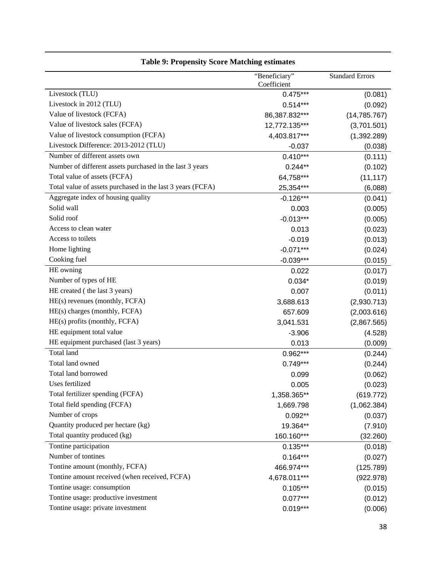|                                                            | "Beneficiary" | <b>Standard Errors</b> |
|------------------------------------------------------------|---------------|------------------------|
|                                                            | Coefficient   |                        |
| Livestock (TLU)                                            | $0.475***$    | (0.081)                |
| Livestock in 2012 (TLU)                                    | $0.514***$    | (0.092)                |
| Value of livestock (FCFA)                                  | 86,387.832*** | (14, 785.767)          |
| Value of livestock sales (FCFA)                            | 12,772.135*** | (3,701.501)            |
| Value of livestock consumption (FCFA)                      | 4,403.817***  | (1,392.289)            |
| Livestock Difference: 2013-2012 (TLU)                      | $-0.037$      | (0.038)                |
| Number of different assets own                             | $0.410***$    | (0.111)                |
| Number of different assets purchased in the last 3 years   | $0.244**$     | (0.102)                |
| Total value of assets (FCFA)                               | 64,758***     | (11, 117)              |
| Total value of assets purchased in the last 3 years (FCFA) | 25,354***     | (6,088)                |
| Aggregate index of housing quality                         | $-0.126***$   | (0.041)                |
| Solid wall                                                 | 0.003         | (0.005)                |
| Solid roof                                                 | $-0.013***$   | (0.005)                |
| Access to clean water                                      | 0.013         | (0.023)                |
| Access to toilets                                          | $-0.019$      | (0.013)                |
| Home lighting                                              | $-0.071***$   | (0.024)                |
| Cooking fuel                                               | $-0.039***$   | (0.015)                |
| HE owning                                                  | 0.022         | (0.017)                |
| Number of types of HE                                      | $0.034*$      | (0.019)                |
| HE created (the last 3 years)                              | 0.007         | (0.011)                |
| HE(s) revenues (monthly, FCFA)                             | 3,688.613     | (2,930.713)            |
| HE(s) charges (monthly, FCFA)                              | 657.609       | (2,003.616)            |
| HE(s) profits (monthly, FCFA)                              | 3,041.531     | (2,867.565)            |
| HE equipment total value                                   | $-3.906$      | (4.528)                |
| HE equipment purchased (last 3 years)                      | 0.013         | (0.009)                |
| Total land                                                 | 0.962***      | (0.244)                |
| Total land owned                                           | $0.749***$    | (0.244)                |
| Total land borrowed                                        | 0.099         | (0.062)                |
| Uses fertilized                                            | 0.005         | (0.023)                |
| Total fertilizer spending (FCFA)                           | 1,358.365**   | (619.772)              |
| Total field spending (FCFA)                                | 1,669.798     | (1,062.384)            |
| Number of crops                                            | $0.092**$     | (0.037)                |
| Quantity produced per hectare (kg)                         | 19.364**      | (7.910)                |
| Total quantity produced (kg)                               | 160.160***    | (32.260)               |
| Tontine participation                                      | $0.135***$    | (0.018)                |
| Number of tontines                                         | $0.164***$    | (0.027)                |
| Tontine amount (monthly, FCFA)                             | 466.974***    | (125.789)              |
| Tontine amount received (when received, FCFA)              | 4,678.011***  | (922.978)              |
| Tontine usage: consumption                                 | $0.105***$    | (0.015)                |
| Tontine usage: productive investment                       | $0.077***$    | (0.012)                |
| Tontine usage: private investment                          | $0.019***$    | (0.006)                |

## **Table 9: Propensity Score Matching estimates**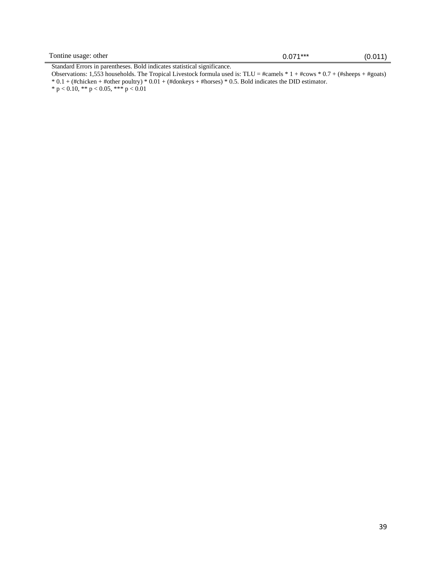Standard Errors in parentheses. Bold indicates statistical significance.

Observations: 1,553 households. The Tropical Livestock formula used is: TLU = #camels \* 1 + #cows \* 0.7 + (#sheeps + #goats) \* 0.1 + (#chicken + #other poultry) \* 0.01 + (#donkeys + #horses) \* 0.5. Bold indicates the DID estimator.  $*$  p < 0.10,  $**$  p < 0.05,  $***$  p < 0.01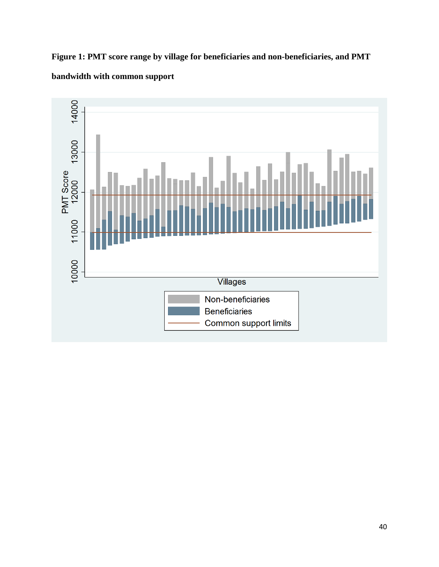

**Figure 1: PMT score range by village for beneficiaries and non-beneficiaries, and PMT bandwidth with common support**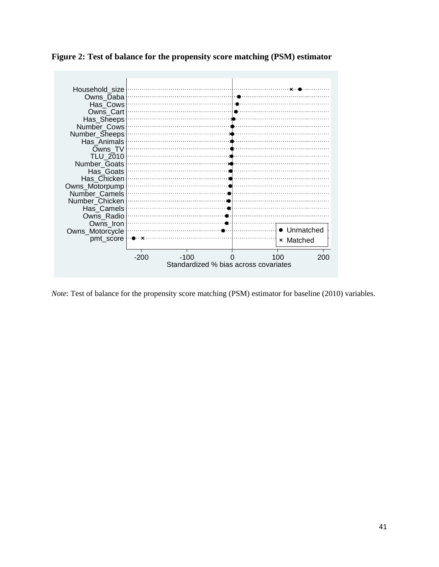|  |  |  | Figure 2: Test of balance for the propensity score matching (PSM) estimator |  |
|--|--|--|-----------------------------------------------------------------------------|--|
|  |  |  |                                                                             |  |

| Household size  |                                       |        |  |           |           |  |  |  |
|-----------------|---------------------------------------|--------|--|-----------|-----------|--|--|--|
| Owns_Daba       |                                       |        |  |           |           |  |  |  |
| Has Cows        |                                       |        |  |           |           |  |  |  |
| Owns Cart       |                                       |        |  |           |           |  |  |  |
| Has_Sheeps      |                                       |        |  |           |           |  |  |  |
| Number Cows     |                                       |        |  |           |           |  |  |  |
| Number_Sheeps   |                                       |        |  |           |           |  |  |  |
| Has Animals     |                                       |        |  |           |           |  |  |  |
| Owns TV         |                                       |        |  |           |           |  |  |  |
| <b>TLU 2010</b> |                                       |        |  |           |           |  |  |  |
| Number Goats    |                                       |        |  |           |           |  |  |  |
| Has Goats       |                                       |        |  |           |           |  |  |  |
| Has Chicken     |                                       |        |  |           |           |  |  |  |
| Owns_Motorpump  |                                       |        |  |           |           |  |  |  |
| Number Camels   |                                       |        |  |           |           |  |  |  |
| Number Chicken  |                                       |        |  |           |           |  |  |  |
| Has Camels      |                                       |        |  |           |           |  |  |  |
| Owns Radio      |                                       |        |  |           |           |  |  |  |
| Owns_Iron       |                                       |        |  |           |           |  |  |  |
| Owns_Motorcycle |                                       |        |  |           | Unmatched |  |  |  |
| pmt_score       |                                       |        |  | × Matched |           |  |  |  |
|                 |                                       |        |  |           |           |  |  |  |
|                 | -200                                  | $-100$ |  | 100       | 200       |  |  |  |
|                 | Standardized % bias across covariates |        |  |           |           |  |  |  |

*Note*: Test of balance for the propensity score matching (PSM) estimator for baseline (2010) variables.